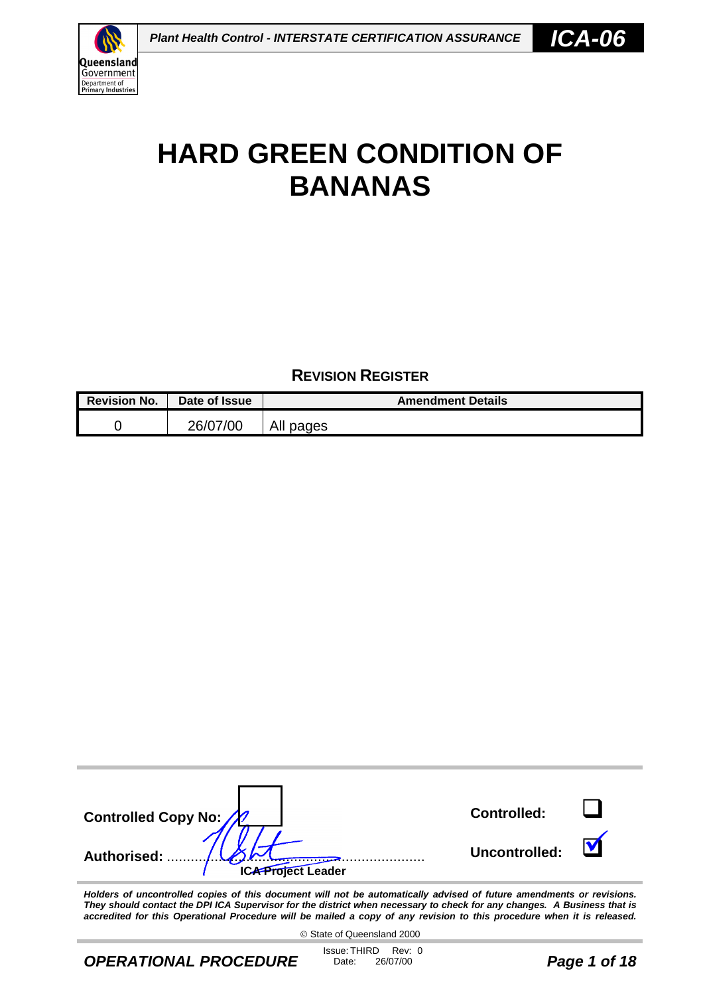

## **REVISION REGISTER**

| <b>Revision No.</b> | Date of Issue | <b>Amendment Details</b> |
|---------------------|---------------|--------------------------|
|                     | 26/07/00      | All pages                |

| Controlled Copy No:                                           | <b>Controlled:</b> |  |
|---------------------------------------------------------------|--------------------|--|
| Authorised:<br>$\cdots$ $\cdots$<br><b>ICA Project Leader</b> | Uncontrolled:      |  |

*Holders of uncontrolled copies of this document will not be automatically advised of future amendments or revisions. They should contact the DPI ICA Supervisor for the district when necessary to check for any changes. A Business that is accredited for this Operational Procedure will be mailed a copy of any revision to this procedure when it is released.*

State of Queensland 2000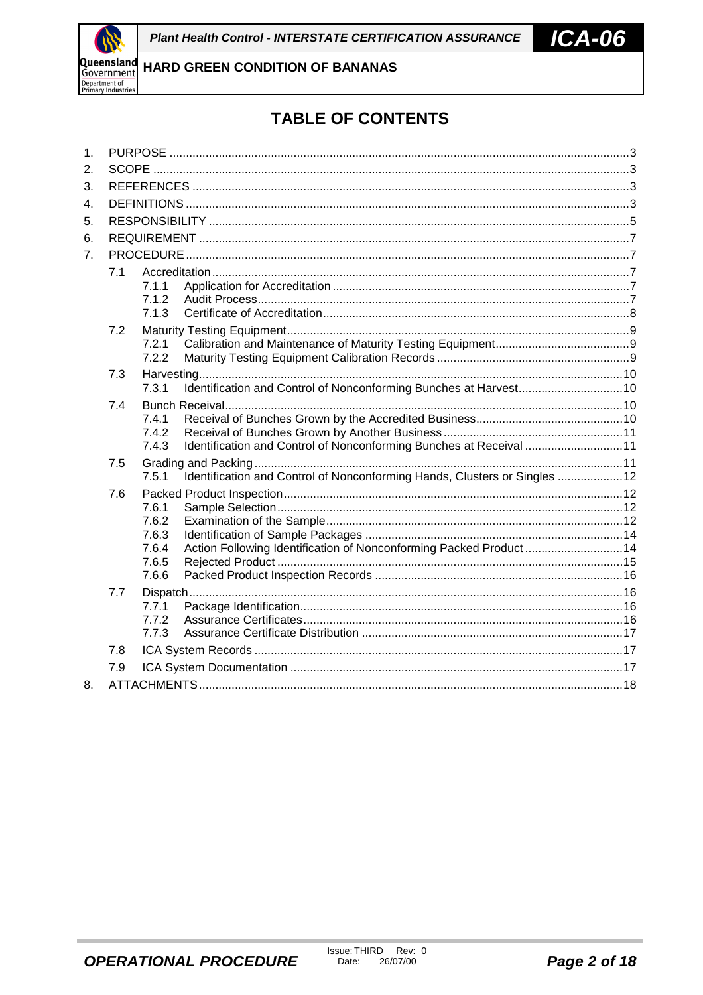

# **TABLE OF CONTENTS**

| 1. |     |                |                                                                            |  |  |  |  |  |  |
|----|-----|----------------|----------------------------------------------------------------------------|--|--|--|--|--|--|
| 2. |     |                |                                                                            |  |  |  |  |  |  |
| 3. |     |                |                                                                            |  |  |  |  |  |  |
| 4. |     |                |                                                                            |  |  |  |  |  |  |
| 5. |     |                |                                                                            |  |  |  |  |  |  |
| 6. |     |                |                                                                            |  |  |  |  |  |  |
| 7. |     |                |                                                                            |  |  |  |  |  |  |
|    | 7.1 |                |                                                                            |  |  |  |  |  |  |
|    |     | 7.1.1          |                                                                            |  |  |  |  |  |  |
|    |     | 7.1.2          |                                                                            |  |  |  |  |  |  |
|    |     | 7.1.3          |                                                                            |  |  |  |  |  |  |
|    | 7.2 |                |                                                                            |  |  |  |  |  |  |
|    |     | 7.2.1<br>7.2.2 |                                                                            |  |  |  |  |  |  |
|    |     |                |                                                                            |  |  |  |  |  |  |
|    | 7.3 | 7.3.1          |                                                                            |  |  |  |  |  |  |
|    | 7.4 |                |                                                                            |  |  |  |  |  |  |
|    |     | 7.4.1          |                                                                            |  |  |  |  |  |  |
|    |     | 7.4.2          |                                                                            |  |  |  |  |  |  |
|    |     | 7.4.3          | Identification and Control of Nonconforming Bunches at Receival  11        |  |  |  |  |  |  |
|    | 7.5 |                |                                                                            |  |  |  |  |  |  |
|    |     | 7.5.1          | Identification and Control of Nonconforming Hands, Clusters or Singles  12 |  |  |  |  |  |  |
|    | 7.6 |                |                                                                            |  |  |  |  |  |  |
|    |     | 7.6.1<br>7.6.2 |                                                                            |  |  |  |  |  |  |
|    |     | 7.6.3          |                                                                            |  |  |  |  |  |  |
|    |     | 7.6.4          | Action Following Identification of Nonconforming Packed Product14          |  |  |  |  |  |  |
|    |     | 7.6.5          |                                                                            |  |  |  |  |  |  |
|    |     | 7.6.6          |                                                                            |  |  |  |  |  |  |
|    | 7.7 |                |                                                                            |  |  |  |  |  |  |
|    |     | 7.7.1          |                                                                            |  |  |  |  |  |  |
|    |     | 7.7.2<br>7.7.3 |                                                                            |  |  |  |  |  |  |
|    | 7.8 |                |                                                                            |  |  |  |  |  |  |
|    |     |                |                                                                            |  |  |  |  |  |  |
|    | 7.9 |                |                                                                            |  |  |  |  |  |  |
| 8. |     |                |                                                                            |  |  |  |  |  |  |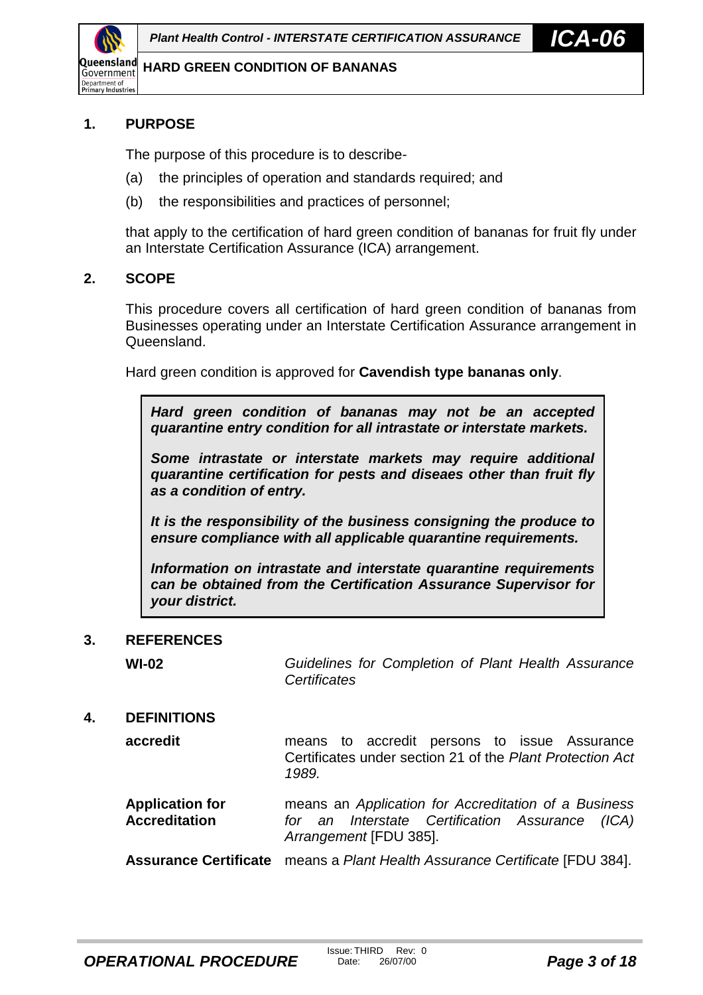<span id="page-2-0"></span>

#### **1. PURPOSE**

The purpose of this procedure is to describe-

- (a) the principles of operation and standards required; and
- (b) the responsibilities and practices of personnel;

that apply to the certification of hard green condition of bananas for fruit fly under an Interstate Certification Assurance (ICA) arrangement.

#### **2. SCOPE**

This procedure covers all certification of hard green condition of bananas from Businesses operating under an Interstate Certification Assurance arrangement in Queensland.

Hard green condition is approved for **Cavendish type bananas only**.

*Hard green condition of bananas may not be an accepted quarantine entry condition for all intrastate or interstate markets.*

*Some intrastate or interstate markets may require additional quarantine certification for pests and diseaes other than fruit fly as a condition of entry.*

*It is the responsibility of the business consigning the produce to ensure compliance with all applicable quarantine requirements.*

*Information on intrastate and interstate quarantine requirements can be obtained from the Certification Assurance Supervisor for your district.*

#### **3. REFERENCES**

**WI-02** *Guidelines for Completion of Plant Health Assurance Certificates*

#### **4. DEFINITIONS**

**accredit** means to accredit persons to issue Assurance Certificates under section 21 of the *Plant Protection Act 1989.*

**Application for Accreditation** means an *Application for Accreditation of a Business for an Interstate Certification Assurance (ICA) Arrangement* [FDU 385].

**Assurance Certificate** means a *Plant Health Assurance Certificate* [FDU 384].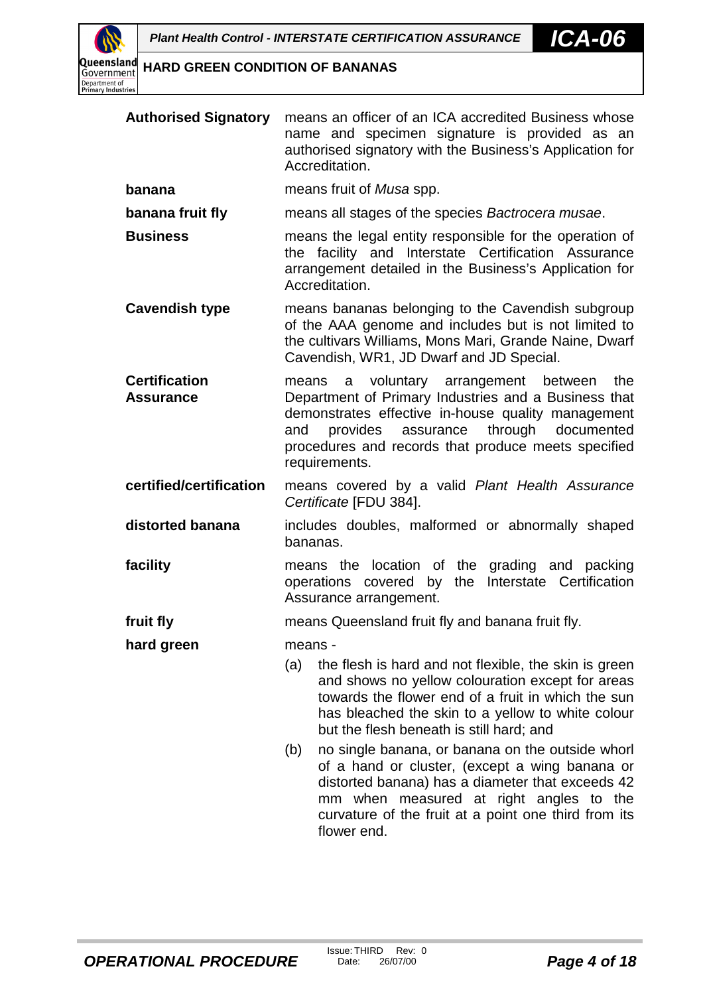

| <b>Authorised Signatory</b> means an officer of an ICA accredited Business whose |
|----------------------------------------------------------------------------------|
| name and specimen signature is provided as an                                    |
| authorised signatory with the Business's Application for                         |
| Accreditation.                                                                   |

**banana** means fruit of *Musa* spp.

**banana fruit fly** means all stages of the species *Bactrocera musae*.

- **Business** means the legal entity responsible for the operation of the facility and Interstate Certification Assurance arrangement detailed in the Business's Application for Accreditation.
- **Cavendish type** means bananas belonging to the Cavendish subgroup of the AAA genome and includes but is not limited to the cultivars Williams, Mons Mari, Grande Naine, Dwarf Cavendish, WR1, JD Dwarf and JD Special.
- **Certification Assurance** means a voluntary arrangement between the Department of Primary Industries and a Business that demonstrates effective in-house quality management and provides assurance through documented procedures and records that produce meets specified requirements.
- **certified/certification** means covered by a valid *Plant Health Assurance Certificate* [FDU 384].
- **distorted banana** includes doubles, malformed or abnormally shaped bananas.
- **facility** means the location of the grading and packing operations covered by the Interstate Certification Assurance arrangement.
- **fruit fly** means Queensland fruit fly and banana fruit fly.

**hard green** means -

- (a) the flesh is hard and not flexible, the skin is green and shows no yellow colouration except for areas towards the flower end of a fruit in which the sun has bleached the skin to a yellow to white colour but the flesh beneath is still hard; and
- (b) no single banana, or banana on the outside whorl of a hand or cluster, (except a wing banana or distorted banana) has a diameter that exceeds 42 mm when measured at right angles to the curvature of the fruit at a point one third from its flower end.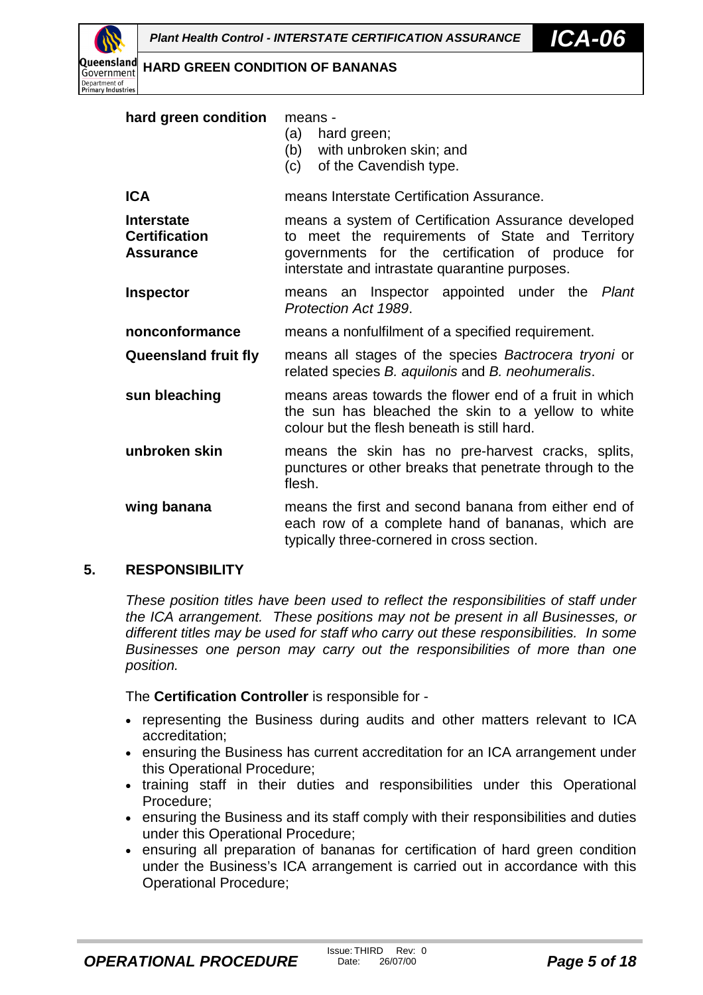<span id="page-4-0"></span>Queensland Government Department of<br>Primary Industries

**HARD GREEN CONDITION OF BANANAS**

| hard green condition                                          | means -<br>(a)<br>hard green;<br>(b) with unbroken skin; and<br>(c) of the Cavendish type.                                                                                                                   |
|---------------------------------------------------------------|--------------------------------------------------------------------------------------------------------------------------------------------------------------------------------------------------------------|
| <b>ICA</b>                                                    | means Interstate Certification Assurance.                                                                                                                                                                    |
| <b>Interstate</b><br><b>Certification</b><br><b>Assurance</b> | means a system of Certification Assurance developed<br>to meet the requirements of State and Territory<br>governments for the certification of produce for<br>interstate and intrastate quarantine purposes. |
| <b>Inspector</b>                                              | means an Inspector appointed under the<br>Plant<br>Protection Act 1989.                                                                                                                                      |
| nonconformance                                                | means a nonfulfilment of a specified requirement.                                                                                                                                                            |
| <b>Queensland fruit fly</b>                                   | means all stages of the species Bactrocera tryoni or<br>related species B. aquilonis and B. neohumeralis.                                                                                                    |
| sun bleaching                                                 | means areas towards the flower end of a fruit in which<br>the sun has bleached the skin to a yellow to white<br>colour but the flesh beneath is still hard.                                                  |
| unbroken skin                                                 | means the skin has no pre-harvest cracks, splits,<br>punctures or other breaks that penetrate through to the<br>flesh.                                                                                       |
| wing banana                                                   | means the first and second banana from either end of<br>each row of a complete hand of bananas, which are<br>typically three-cornered in cross section.                                                      |

#### **5. RESPONSIBILITY**

*These position titles have been used to reflect the responsibilities of staff under the ICA arrangement. These positions may not be present in all Businesses, or different titles may be used for staff who carry out these responsibilities. In some Businesses one person may carry out the responsibilities of more than one position.*

The **Certification Controller** is responsible for -

- representing the Business during audits and other matters relevant to ICA accreditation;
- ensuring the Business has current accreditation for an ICA arrangement under this Operational Procedure;
- training staff in their duties and responsibilities under this Operational Procedure;
- ensuring the Business and its staff comply with their responsibilities and duties under this Operational Procedure;
- ensuring all preparation of bananas for certification of hard green condition under the Business's ICA arrangement is carried out in accordance with this Operational Procedure;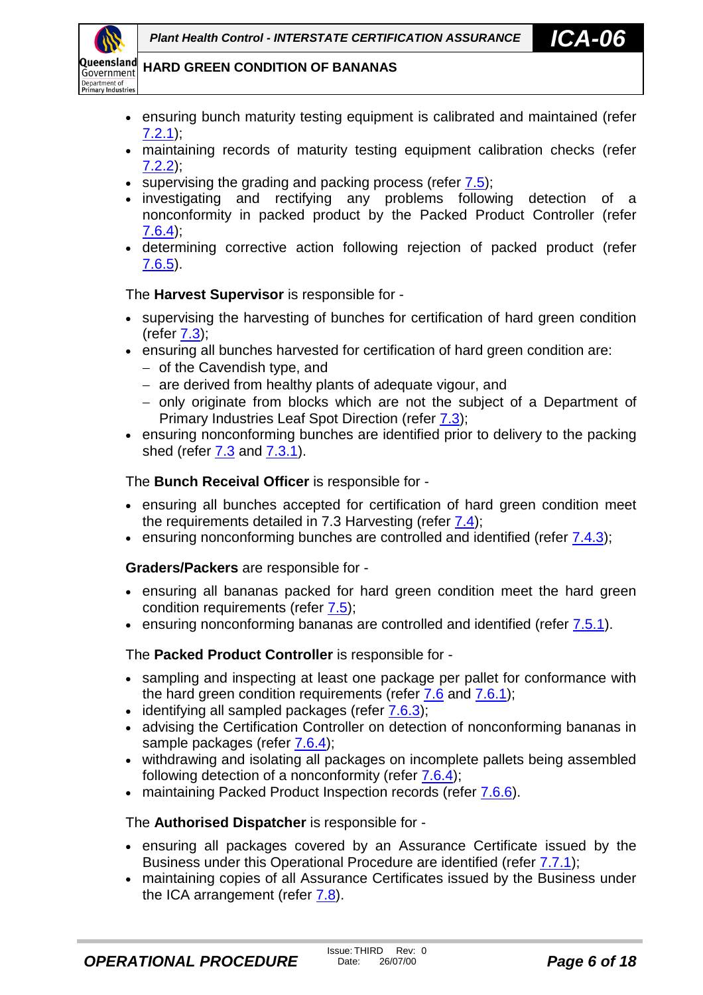

- ensuring bunch maturity testing equipment is calibrated and maintained (refer [7.2.1\)](#page-8-0);
- maintaining records of maturity testing equipment calibration checks (refer [7.2.2\)](#page-8-0);
- $\bullet$  supervising the grading and packing process (refer  $7.5$ );
- investigating and rectifying any problems following detection of a nonconformity in packed product by the Packed Product Controller (refer [7.6.4\)](#page-13-0);
- determining corrective action following rejection of packed product (refer [7.6.5\)](#page-14-0).

The **Harvest Supervisor** is responsible for -

- supervising the harvesting of bunches for certification of hard green condition  $(refer 7.3)$  $(refer 7.3)$ ;
- ensuring all bunches harvested for certification of hard green condition are:
	- $-$  of the Cavendish type, and
	- are derived from healthy plants of adequate vigour, and
	- only originate from blocks which are not the subject of a Department of Primary Industries Leaf Spot Direction (refer [7.3\)](#page-9-0);
- ensuring nonconforming bunches are identified prior to delivery to the packing shed (refer [7.3](#page-9-0) and [7.3.1\)](#page-9-0).

The **Bunch Receival Officer** is responsible for -

- ensuring all bunches accepted for certification of hard green condition meet the requirements detailed in 7.3 Harvesting (refer [7.4\)](#page-9-0);
- ensuring nonconforming bunches are controlled and identified (refer [7.4.3\)](#page-10-0);

**Graders/Packers** are responsible for -

- ensuring all bananas packed for hard green condition meet the hard green condition requirements (refer [7.5\)](#page-10-0);
- ensuring nonconforming bananas are controlled and identified (refer [7.5.1\)](#page-11-0).

The **Packed Product Controller** is responsible for -

- sampling and inspecting at least one package per pallet for conformance with the hard green condition requirements (refer [7.6](#page-11-0) and [7.6.1\)](#page-11-0);
- $\bullet$  identifying all sampled packages (refer  $7.6.3$ );
- advising the Certification Controller on detection of nonconforming bananas in sample packages (refer [7.6.4\)](#page-13-0);
- withdrawing and isolating all packages on incomplete pallets being assembled following detection of a nonconformity (refer [7.6.4\)](#page-13-0);
- maintaining Packed Product Inspection records (refer [7.6.6\)](#page-15-0).

The **Authorised Dispatcher** is responsible for -

- ensuring all packages covered by an Assurance Certificate issued by the Business under this Operational Procedure are identified (refer [7.7.1\)](#page-15-0);
- maintaining copies of all Assurance Certificates issued by the Business under the ICA arrangement (refer  $7.8$ ).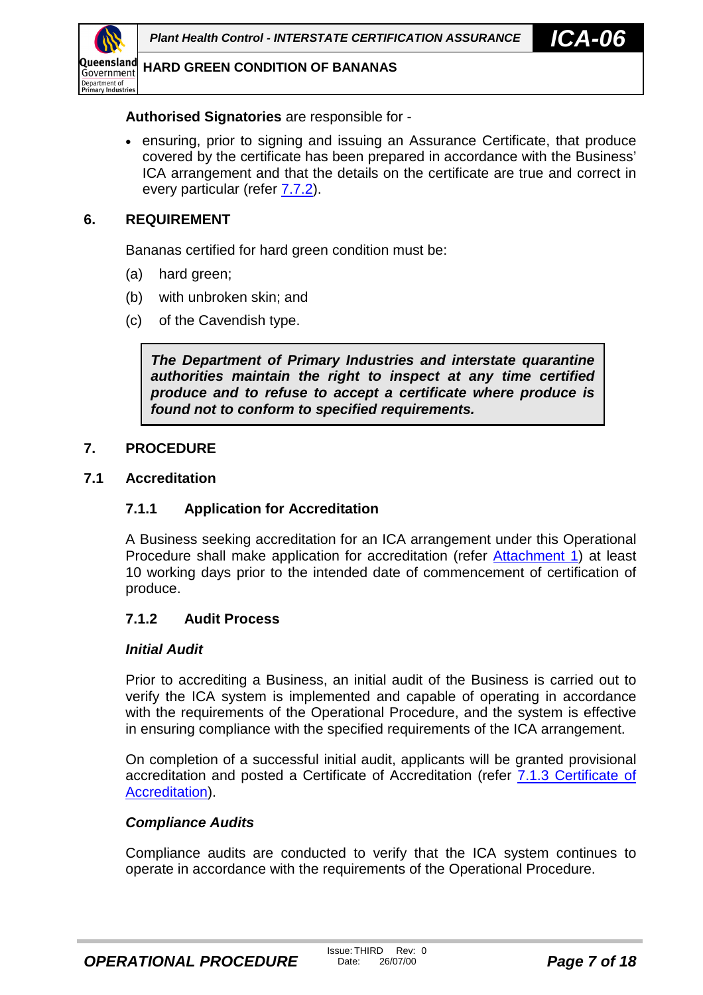<span id="page-6-0"></span>

#### **Authorised Signatories** are responsible for -

• ensuring, prior to signing and issuing an Assurance Certificate, that produce covered by the certificate has been prepared in accordance with the Business' ICA arrangement and that the details on the certificate are true and correct in every particular (refer [7.7.2\)](#page-15-0).

#### **6. REQUIREMENT**

Bananas certified for hard green condition must be:

- (a) hard green;
- (b) with unbroken skin; and
- (c) of the Cavendish type.

*The Department of Primary Industries and interstate quarantine authorities maintain the right to inspect at any time certified produce and to refuse to accept a certificate where produce is found not to conform to specified requirements.*

#### **7. PROCEDURE**

#### **7.1 Accreditation**

#### **7.1.1 Application for Accreditation**

A Business seeking accreditation for an ICA arrangement under this Operational Procedure shall make application for accreditation (refer [Attachment 1\)](#page-18-0) at least 10 working days prior to the intended date of commencement of certification of produce.

#### **7.1.2 Audit Process**

#### *Initial Audit*

Prior to accrediting a Business, an initial audit of the Business is carried out to verify the ICA system is implemented and capable of operating in accordance with the requirements of the Operational Procedure, and the system is effective in ensuring compliance with the specified requirements of the ICA arrangement.

On completion of a successful initial audit, applicants will be granted provisional accreditation and posted a Certificate of Accreditation (refer [7.1.3 Certificate of](#page-7-0) [Accreditation\)](#page-7-0).

#### *Compliance Audits*

Compliance audits are conducted to verify that the ICA system continues to operate in accordance with the requirements of the Operational Procedure.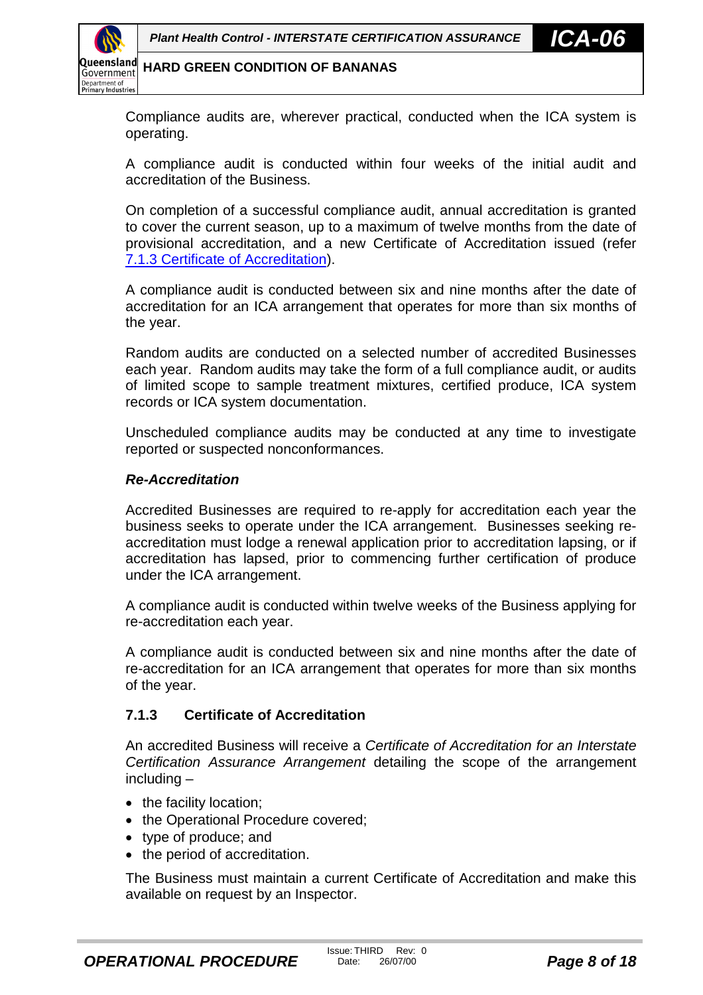<span id="page-7-0"></span>

Compliance audits are, wherever practical, conducted when the ICA system is operating.

A compliance audit is conducted within four weeks of the initial audit and accreditation of the Business.

On completion of a successful compliance audit, annual accreditation is granted to cover the current season, up to a maximum of twelve months from the date of provisional accreditation, and a new Certificate of Accreditation issued (refer 7.1.3 Certificate of Accreditation).

A compliance audit is conducted between six and nine months after the date of accreditation for an ICA arrangement that operates for more than six months of the year.

Random audits are conducted on a selected number of accredited Businesses each year. Random audits may take the form of a full compliance audit, or audits of limited scope to sample treatment mixtures, certified produce, ICA system records or ICA system documentation.

Unscheduled compliance audits may be conducted at any time to investigate reported or suspected nonconformances.

#### *Re-Accreditation*

Accredited Businesses are required to re-apply for accreditation each year the business seeks to operate under the ICA arrangement. Businesses seeking reaccreditation must lodge a renewal application prior to accreditation lapsing, or if accreditation has lapsed, prior to commencing further certification of produce under the ICA arrangement.

A compliance audit is conducted within twelve weeks of the Business applying for re-accreditation each year.

A compliance audit is conducted between six and nine months after the date of re-accreditation for an ICA arrangement that operates for more than six months of the year.

#### **7.1.3 Certificate of Accreditation**

An accredited Business will receive a *Certificate of Accreditation for an Interstate Certification Assurance Arrangement* detailing the scope of the arrangement including –

- the facility location;
- the Operational Procedure covered;
- type of produce; and
- the period of accreditation.

The Business must maintain a current Certificate of Accreditation and make this available on request by an Inspector.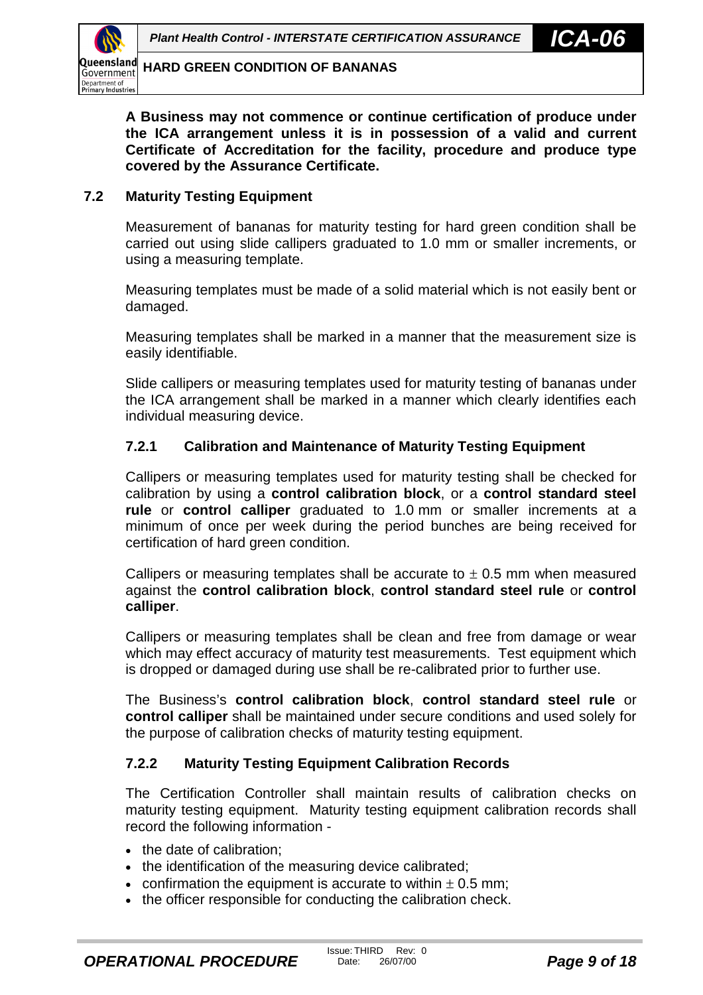<span id="page-8-0"></span>

**A Business may not commence or continue certification of produce under the ICA arrangement unless it is in possession of a valid and current Certificate of Accreditation for the facility, procedure and produce type covered by the Assurance Certificate.**

#### **7.2 Maturity Testing Equipment**

Measurement of bananas for maturity testing for hard green condition shall be carried out using slide callipers graduated to 1.0 mm or smaller increments, or using a measuring template.

Measuring templates must be made of a solid material which is not easily bent or damaged.

Measuring templates shall be marked in a manner that the measurement size is easily identifiable.

Slide callipers or measuring templates used for maturity testing of bananas under the ICA arrangement shall be marked in a manner which clearly identifies each individual measuring device.

#### **7.2.1 Calibration and Maintenance of Maturity Testing Equipment**

Callipers or measuring templates used for maturity testing shall be checked for calibration by using a **control calibration block**, or a **control standard steel rule** or **control calliper** graduated to 1.0 mm or smaller increments at a minimum of once per week during the period bunches are being received for certification of hard green condition.

Callipers or measuring templates shall be accurate to  $\pm$  0.5 mm when measured against the **control calibration block**, **control standard steel rule** or **control calliper**.

Callipers or measuring templates shall be clean and free from damage or wear which may effect accuracy of maturity test measurements. Test equipment which is dropped or damaged during use shall be re-calibrated prior to further use.

The Business's **control calibration block**, **control standard steel rule** or **control calliper** shall be maintained under secure conditions and used solely for the purpose of calibration checks of maturity testing equipment.

#### **7.2.2 Maturity Testing Equipment Calibration Records**

The Certification Controller shall maintain results of calibration checks on maturity testing equipment. Maturity testing equipment calibration records shall record the following information -

- the date of calibration:
- the identification of the measuring device calibrated;
- confirmation the equipment is accurate to within  $\pm$  0.5 mm;
- the officer responsible for conducting the calibration check.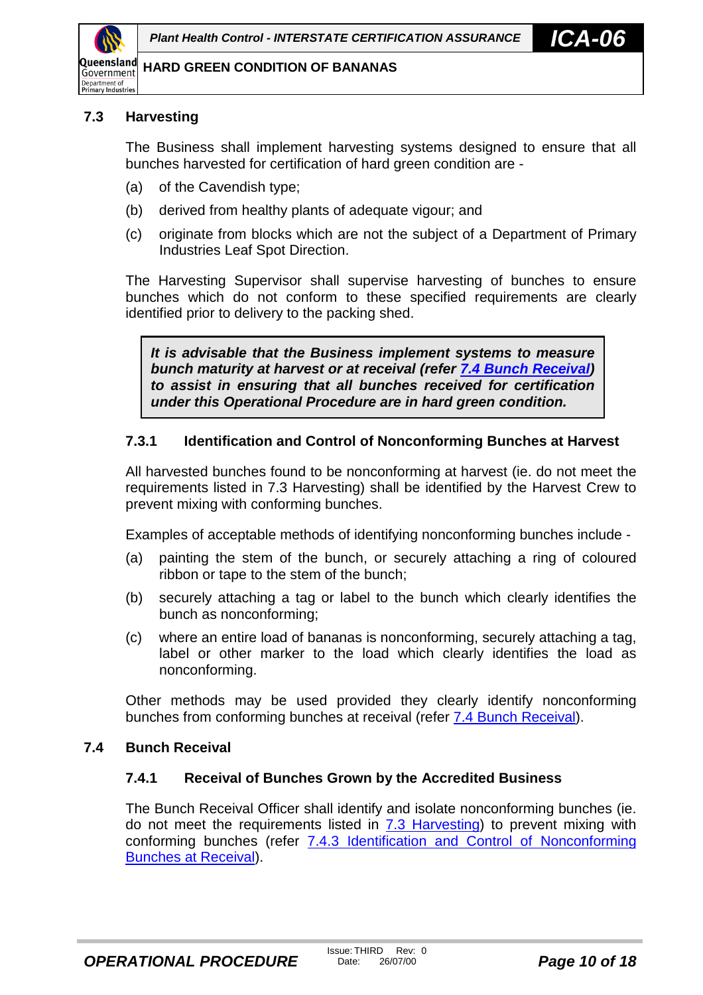<span id="page-9-0"></span>

#### **7.3 Harvesting**

The Business shall implement harvesting systems designed to ensure that all bunches harvested for certification of hard green condition are -

- (a) of the Cavendish type;
- (b) derived from healthy plants of adequate vigour; and
- (c) originate from blocks which are not the subject of a Department of Primary Industries Leaf Spot Direction.

The Harvesting Supervisor shall supervise harvesting of bunches to ensure bunches which do not conform to these specified requirements are clearly identified prior to delivery to the packing shed.

*It is advisable that the Business implement systems to measure bunch maturity at harvest or at receival (refer 7.4 Bunch Receival) to assist in ensuring that all bunches received for certification under this Operational Procedure are in hard green condition.*

#### **7.3.1 Identification and Control of Nonconforming Bunches at Harvest**

All harvested bunches found to be nonconforming at harvest (ie. do not meet the requirements listed in 7.3 Harvesting) shall be identified by the Harvest Crew to prevent mixing with conforming bunches.

Examples of acceptable methods of identifying nonconforming bunches include -

- (a) painting the stem of the bunch, or securely attaching a ring of coloured ribbon or tape to the stem of the bunch;
- (b) securely attaching a tag or label to the bunch which clearly identifies the bunch as nonconforming;
- (c) where an entire load of bananas is nonconforming, securely attaching a tag, label or other marker to the load which clearly identifies the load as nonconforming.

Other methods may be used provided they clearly identify nonconforming bunches from conforming bunches at receival (refer 7.4 Bunch Receival).

#### **7.4 Bunch Receival**

#### **7.4.1 Receival of Bunches Grown by the Accredited Business**

The Bunch Receival Officer shall identify and isolate nonconforming bunches (ie. do not meet the requirements listed in 7.3 Harvesting) to prevent mixing with conforming bunches (refer [7.4.3 Identification and Control of Nonconforming](#page-10-0) [Bunches at Receival\)](#page-10-0).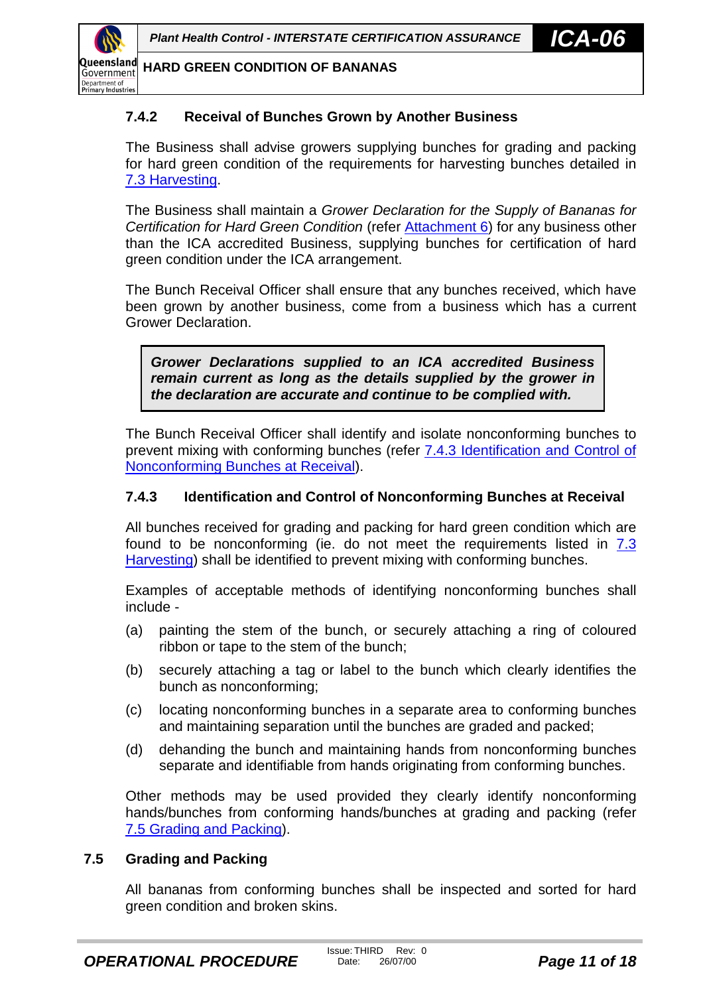<span id="page-10-0"></span>

#### **7.4.2 Receival of Bunches Grown by Another Business**

The Business shall advise growers supplying bunches for grading and packing for hard green condition of the requirements for harvesting bunches detailed in [7.3 Harvesting.](#page-9-0)

The Business shall maintain a *Grower Declaration for the Supply of Bananas for Certification for Hard Green Condition* (refer [Attachment 6\)](#page-23-0) for any business other than the ICA accredited Business, supplying bunches for certification of hard green condition under the ICA arrangement.

The Bunch Receival Officer shall ensure that any bunches received, which have been grown by another business, come from a business which has a current Grower Declaration.

*Grower Declarations supplied to an ICA accredited Business remain current as long as the details supplied by the grower in the declaration are accurate and continue to be complied with.*

The Bunch Receival Officer shall identify and isolate nonconforming bunches to prevent mixing with conforming bunches (refer 7.4.3 Identification and Control of Nonconforming Bunches at Receival).

#### **7.4.3 Identification and Control of Nonconforming Bunches at Receival**

All bunches received for grading and packing for hard green condition which are found to be nonconforming (ie. do not meet the requirements listed in [7.3](#page-9-0) [Harvesting\)](#page-9-0) shall be identified to prevent mixing with conforming bunches.

Examples of acceptable methods of identifying nonconforming bunches shall include -

- (a) painting the stem of the bunch, or securely attaching a ring of coloured ribbon or tape to the stem of the bunch;
- (b) securely attaching a tag or label to the bunch which clearly identifies the bunch as nonconforming;
- (c) locating nonconforming bunches in a separate area to conforming bunches and maintaining separation until the bunches are graded and packed;
- (d) dehanding the bunch and maintaining hands from nonconforming bunches separate and identifiable from hands originating from conforming bunches.

Other methods may be used provided they clearly identify nonconforming hands/bunches from conforming hands/bunches at grading and packing (refer 7.5 Grading and Packing).

#### **7.5 Grading and Packing**

All bananas from conforming bunches shall be inspected and sorted for hard green condition and broken skins.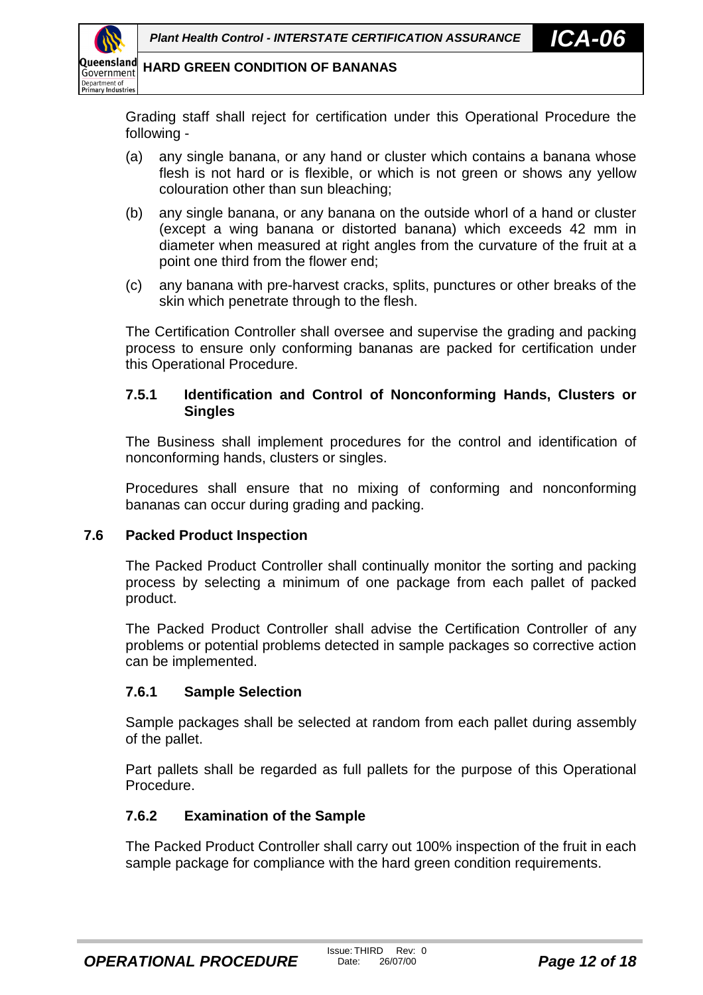<span id="page-11-0"></span>

Grading staff shall reject for certification under this Operational Procedure the following -

- (a) any single banana, or any hand or cluster which contains a banana whose flesh is not hard or is flexible, or which is not green or shows any yellow colouration other than sun bleaching;
- (b) any single banana, or any banana on the outside whorl of a hand or cluster (except a wing banana or distorted banana) which exceeds 42 mm in diameter when measured at right angles from the curvature of the fruit at a point one third from the flower end;
- (c) any banana with pre-harvest cracks, splits, punctures or other breaks of the skin which penetrate through to the flesh.

The Certification Controller shall oversee and supervise the grading and packing process to ensure only conforming bananas are packed for certification under this Operational Procedure.

#### **7.5.1 Identification and Control of Nonconforming Hands, Clusters or Singles**

The Business shall implement procedures for the control and identification of nonconforming hands, clusters or singles.

Procedures shall ensure that no mixing of conforming and nonconforming bananas can occur during grading and packing.

#### **7.6 Packed Product Inspection**

The Packed Product Controller shall continually monitor the sorting and packing process by selecting a minimum of one package from each pallet of packed product.

The Packed Product Controller shall advise the Certification Controller of any problems or potential problems detected in sample packages so corrective action can be implemented.

#### **7.6.1 Sample Selection**

Sample packages shall be selected at random from each pallet during assembly of the pallet.

Part pallets shall be regarded as full pallets for the purpose of this Operational Procedure.

#### **7.6.2 Examination of the Sample**

The Packed Product Controller shall carry out 100% inspection of the fruit in each sample package for compliance with the hard green condition requirements.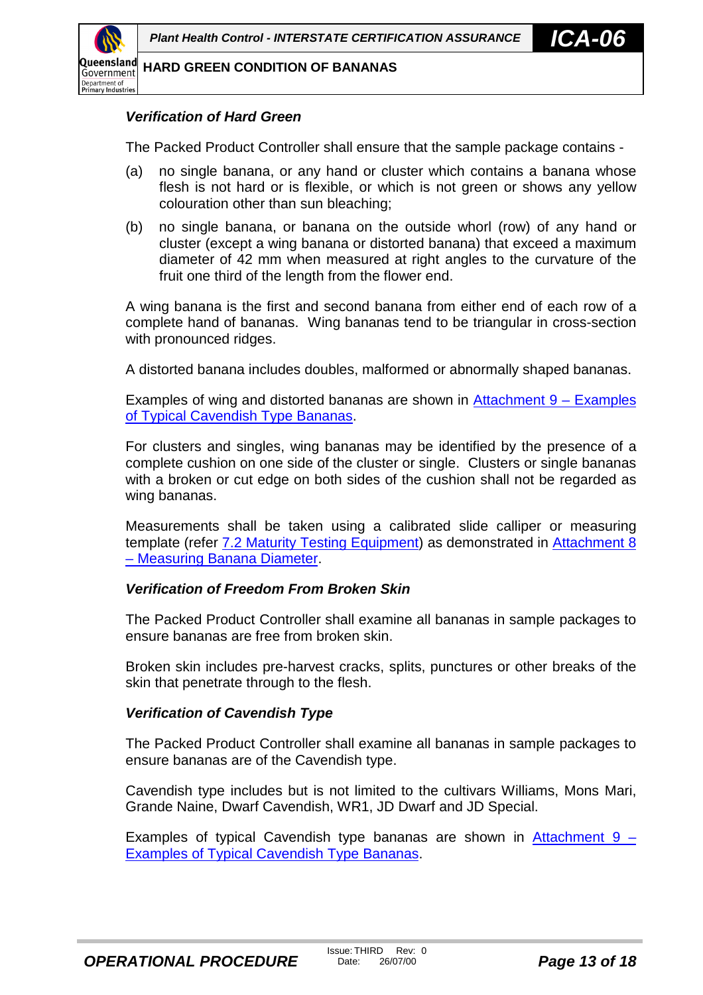

#### *Verification of Hard Green*

The Packed Product Controller shall ensure that the sample package contains -

- (a) no single banana, or any hand or cluster which contains a banana whose flesh is not hard or is flexible, or which is not green or shows any yellow colouration other than sun bleaching;
- (b) no single banana, or banana on the outside whorl (row) of any hand or cluster (except a wing banana or distorted banana) that exceed a maximum diameter of 42 mm when measured at right angles to the curvature of the fruit one third of the length from the flower end.

A wing banana is the first and second banana from either end of each row of a complete hand of bananas. Wing bananas tend to be triangular in cross-section with pronounced ridges.

A distorted banana includes doubles, malformed or abnormally shaped bananas.

Examples of wing and distorted bananas are shown in [Attachment 9 – Examples](#page-26-0) [of Typical Cavendish Type Bananas.](#page-26-0)

For clusters and singles, wing bananas may be identified by the presence of a complete cushion on one side of the cluster or single. Clusters or single bananas with a broken or cut edge on both sides of the cushion shall not be regarded as wing bananas.

Measurements shall be taken using a calibrated slide calliper or measuring template (refer [7.2 Maturity Testing Equipment\)](#page-8-0) as demonstrated in [Attachment 8](#page-25-0) [– Measuring Banana Diameter.](#page-25-0)

#### *Verification of Freedom From Broken Skin*

The Packed Product Controller shall examine all bananas in sample packages to ensure bananas are free from broken skin.

Broken skin includes pre-harvest cracks, splits, punctures or other breaks of the skin that penetrate through to the flesh.

#### *Verification of Cavendish Type*

The Packed Product Controller shall examine all bananas in sample packages to ensure bananas are of the Cavendish type.

Cavendish type includes but is not limited to the cultivars Williams, Mons Mari, Grande Naine, Dwarf Cavendish, WR1, JD Dwarf and JD Special.

Examples of typical Cavendish type bananas are shown in Attachment  $9 -$ [Examples of Typical Cavendish Type Bananas.](#page-26-0)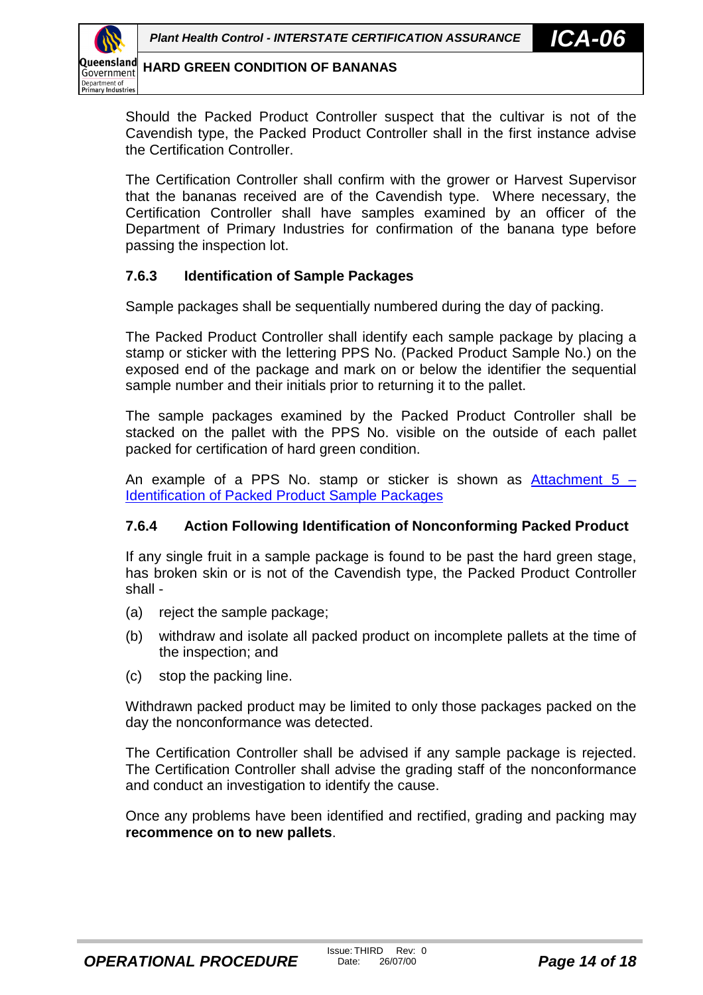<span id="page-13-0"></span>

Should the Packed Product Controller suspect that the cultivar is not of the Cavendish type, the Packed Product Controller shall in the first instance advise the Certification Controller.

The Certification Controller shall confirm with the grower or Harvest Supervisor that the bananas received are of the Cavendish type. Where necessary, the Certification Controller shall have samples examined by an officer of the Department of Primary Industries for confirmation of the banana type before passing the inspection lot.

#### **7.6.3 Identification of Sample Packages**

Sample packages shall be sequentially numbered during the day of packing.

The Packed Product Controller shall identify each sample package by placing a stamp or sticker with the lettering PPS No. (Packed Product Sample No.) on the exposed end of the package and mark on or below the identifier the sequential sample number and their initials prior to returning it to the pallet.

The sample packages examined by the Packed Product Controller shall be stacked on the pallet with the PPS No. visible on the outside of each pallet packed for certification of hard green condition.

An example of a PPS No. stamp or sticker is shown as Attachment  $5 -$ [Identification of Packed Product Sample Packages](#page-22-0)

#### **7.6.4 Action Following Identification of Nonconforming Packed Product**

If any single fruit in a sample package is found to be past the hard green stage, has broken skin or is not of the Cavendish type, the Packed Product Controller shall -

- (a) reject the sample package;
- (b) withdraw and isolate all packed product on incomplete pallets at the time of the inspection; and
- (c) stop the packing line.

Withdrawn packed product may be limited to only those packages packed on the day the nonconformance was detected.

The Certification Controller shall be advised if any sample package is rejected. The Certification Controller shall advise the grading staff of the nonconformance and conduct an investigation to identify the cause.

Once any problems have been identified and rectified, grading and packing may **recommence on to new pallets**.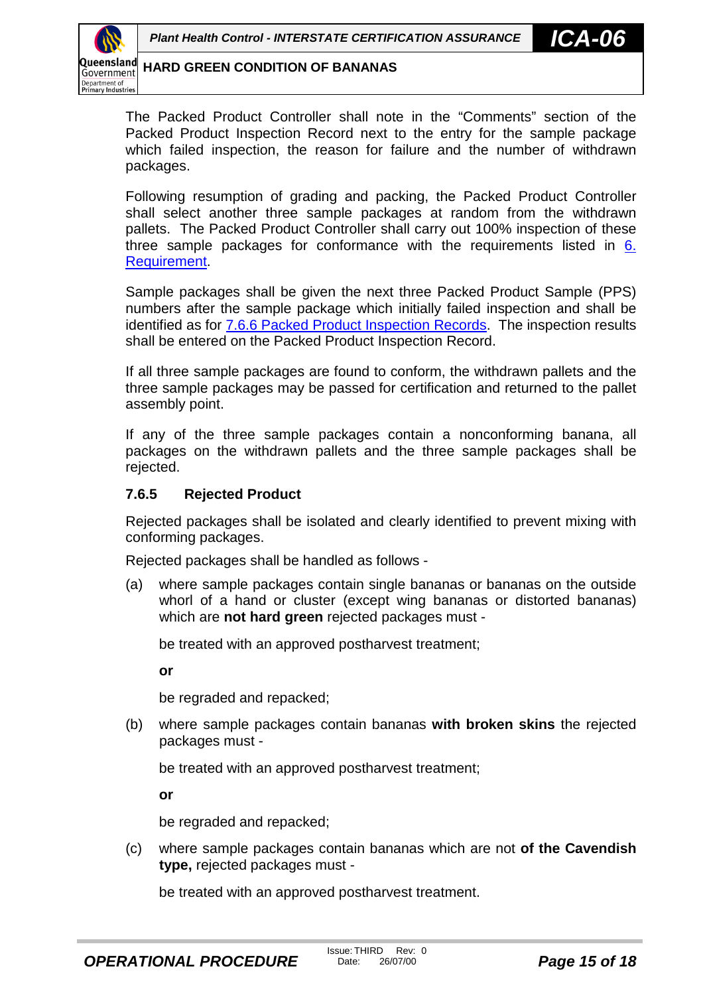<span id="page-14-0"></span>

The Packed Product Controller shall note in the "Comments" section of the Packed Product Inspection Record next to the entry for the sample package which failed inspection, the reason for failure and the number of withdrawn packages.

Following resumption of grading and packing, the Packed Product Controller shall select another three sample packages at random from the withdrawn pallets. The Packed Product Controller shall carry out 100% inspection of these three sample packages for conformance with the requirements listed in [6.](#page-6-0) [Requirement.](#page-6-0)

Sample packages shall be given the next three Packed Product Sample (PPS) numbers after the sample package which initially failed inspection and shall be identified as for [7.6.6 Packed Product Inspection Records.](#page-15-0) The inspection results shall be entered on the Packed Product Inspection Record.

If all three sample packages are found to conform, the withdrawn pallets and the three sample packages may be passed for certification and returned to the pallet assembly point.

If any of the three sample packages contain a nonconforming banana, all packages on the withdrawn pallets and the three sample packages shall be rejected.

#### **7.6.5 Rejected Product**

Rejected packages shall be isolated and clearly identified to prevent mixing with conforming packages.

Rejected packages shall be handled as follows -

(a) where sample packages contain single bananas or bananas on the outside whorl of a hand or cluster (except wing bananas or distorted bananas) which are **not hard green** rejected packages must -

be treated with an approved postharvest treatment;

**or**

be regraded and repacked;

(b) where sample packages contain bananas **with broken skins** the rejected packages must -

be treated with an approved postharvest treatment;

**or**

be regraded and repacked;

(c) where sample packages contain bananas which are not **of the Cavendish type,** rejected packages must -

be treated with an approved postharvest treatment.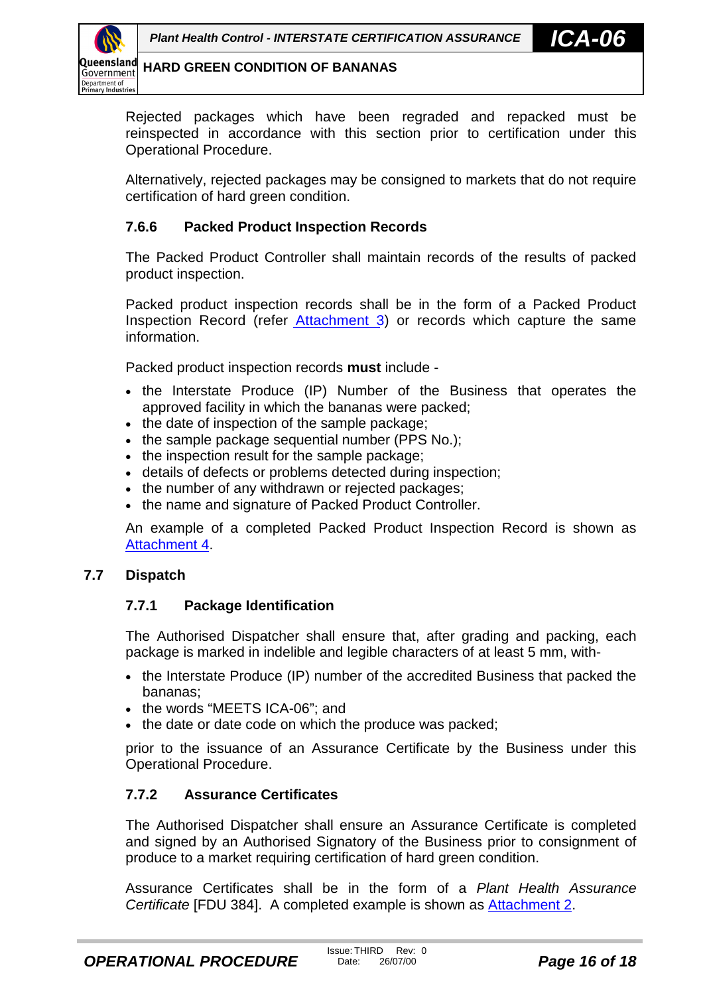<span id="page-15-0"></span>

Rejected packages which have been regraded and repacked must be reinspected in accordance with this section prior to certification under this Operational Procedure.

Alternatively, rejected packages may be consigned to markets that do not require certification of hard green condition.

#### **7.6.6 Packed Product Inspection Records**

The Packed Product Controller shall maintain records of the results of packed product inspection.

Packed product inspection records shall be in the form of a Packed Product Inspection Record (refer [Attachment 3](#page-20-0)) or records which capture the same information.

Packed product inspection records **must** include -

- the Interstate Produce (IP) Number of the Business that operates the approved facility in which the bananas were packed;
- the date of inspection of the sample package:
- $\bullet$  the sample package sequential number (PPS No.);
- the inspection result for the sample package;
- details of defects or problems detected during inspection;
- the number of any withdrawn or rejected packages;
- the name and signature of Packed Product Controller.

An example of a completed Packed Product Inspection Record is shown as [Attachment 4.](#page-21-0)

#### **7.7 Dispatch**

#### **7.7.1 Package Identification**

The Authorised Dispatcher shall ensure that, after grading and packing, each package is marked in indelible and legible characters of at least 5 mm, with-

- the Interstate Produce (IP) number of the accredited Business that packed the bananas;
- the words "MEETS ICA-06"; and
- the date or date code on which the produce was packed;

prior to the issuance of an Assurance Certificate by the Business under this Operational Procedure.

#### **7.7.2 Assurance Certificates**

The Authorised Dispatcher shall ensure an Assurance Certificate is completed and signed by an Authorised Signatory of the Business prior to consignment of produce to a market requiring certification of hard green condition.

Assurance Certificates shall be in the form of a *Plant Health Assurance Certificate* [FDU 384]. A completed example is shown as [Attachment 2.](#page-19-0)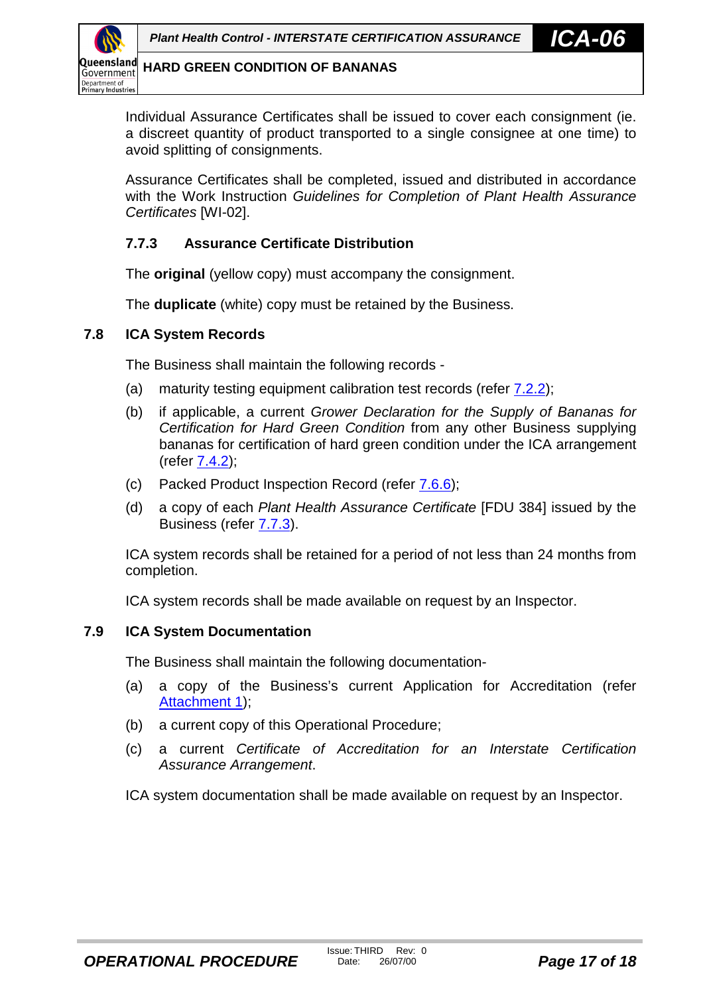<span id="page-16-0"></span>

Individual Assurance Certificates shall be issued to cover each consignment (ie. a discreet quantity of product transported to a single consignee at one time) to avoid splitting of consignments.

Assurance Certificates shall be completed, issued and distributed in accordance with the Work Instruction *Guidelines for Completion of Plant Health Assurance Certificates* [WI-02].

#### **7.7.3 Assurance Certificate Distribution**

The **original** (yellow copy) must accompany the consignment.

The **duplicate** (white) copy must be retained by the Business.

#### **7.8 ICA System Records**

The Business shall maintain the following records -

- (a) maturity testing equipment calibration test records (refer [7.2.2\)](#page-8-0);
- (b) if applicable, a current *Grower Declaration for the Supply of Bananas for Certification for Hard Green Condition* from any other Business supplying bananas for certification of hard green condition under the ICA arrangement (refer [7.4.2\)](#page-10-0);
- (c) Packed Product Inspection Record (refer [7.6.6\)](#page-15-0);
- (d) a copy of each *Plant Health Assurance Certificate* [FDU 384] issued by the Business (refer 7.7.3).

ICA system records shall be retained for a period of not less than 24 months from completion.

ICA system records shall be made available on request by an Inspector.

#### **7.9 ICA System Documentation**

The Business shall maintain the following documentation-

- (a) a copy of the Business's current Application for Accreditation (refer [Attachment 1\)](#page-18-0);
- (b) a current copy of this Operational Procedure;
- (c) a current *Certificate of Accreditation for an Interstate Certification Assurance Arrangement*.

ICA system documentation shall be made available on request by an Inspector.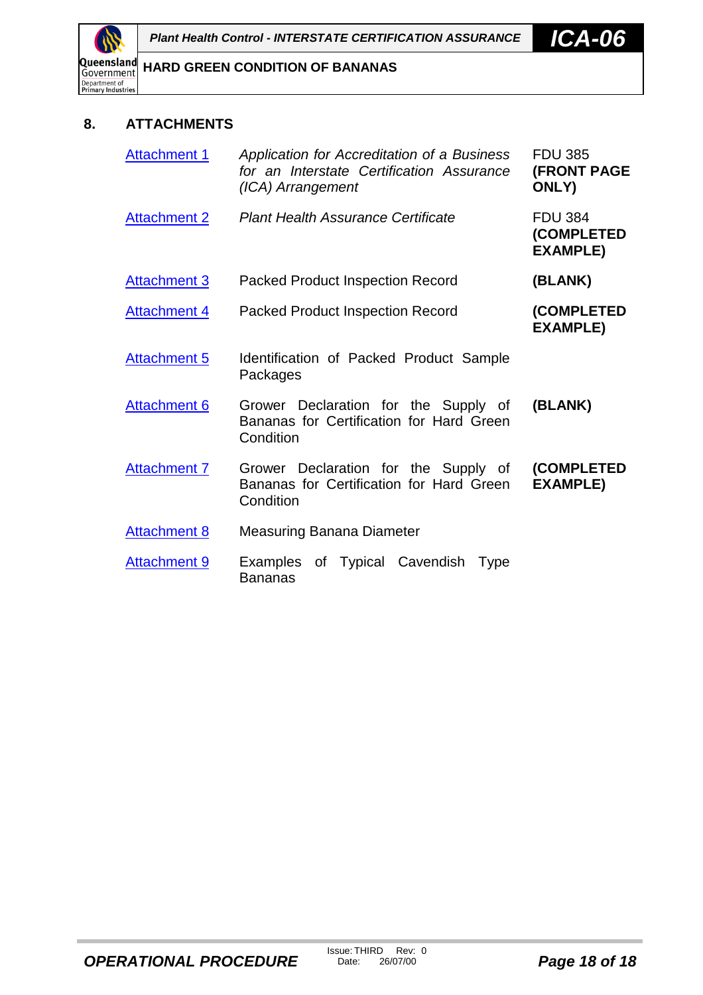<span id="page-17-0"></span>

### **8. ATTACHMENTS**

| <b>Attachment 1</b> | Application for Accreditation of a Business<br>for an Interstate Certification Assurance<br>(ICA) Arrangement | <b>FDU 385</b><br><b>(FRONT PAGE</b><br>ONLY)   |
|---------------------|---------------------------------------------------------------------------------------------------------------|-------------------------------------------------|
| <b>Attachment 2</b> | <b>Plant Health Assurance Certificate</b>                                                                     | <b>FDU 384</b><br>(COMPLETED<br><b>EXAMPLE)</b> |
| <b>Attachment 3</b> | <b>Packed Product Inspection Record</b>                                                                       | (BLANK)                                         |
| <b>Attachment 4</b> | <b>Packed Product Inspection Record</b>                                                                       | (COMPLETED<br><b>EXAMPLE)</b>                   |
| <b>Attachment 5</b> | Identification of Packed Product Sample<br>Packages                                                           |                                                 |
| <b>Attachment 6</b> | Grower Declaration for the Supply of<br>Bananas for Certification for Hard Green<br>Condition                 | (BLANK)                                         |
| <b>Attachment 7</b> | Grower Declaration for the Supply of<br>Bananas for Certification for Hard Green<br>Condition                 | (COMPLETED<br><b>EXAMPLE)</b>                   |
| <b>Attachment 8</b> | Measuring Banana Diameter                                                                                     |                                                 |
| <b>Attachment 9</b> | Examples of Typical Cavendish<br>Type<br>Bananas                                                              |                                                 |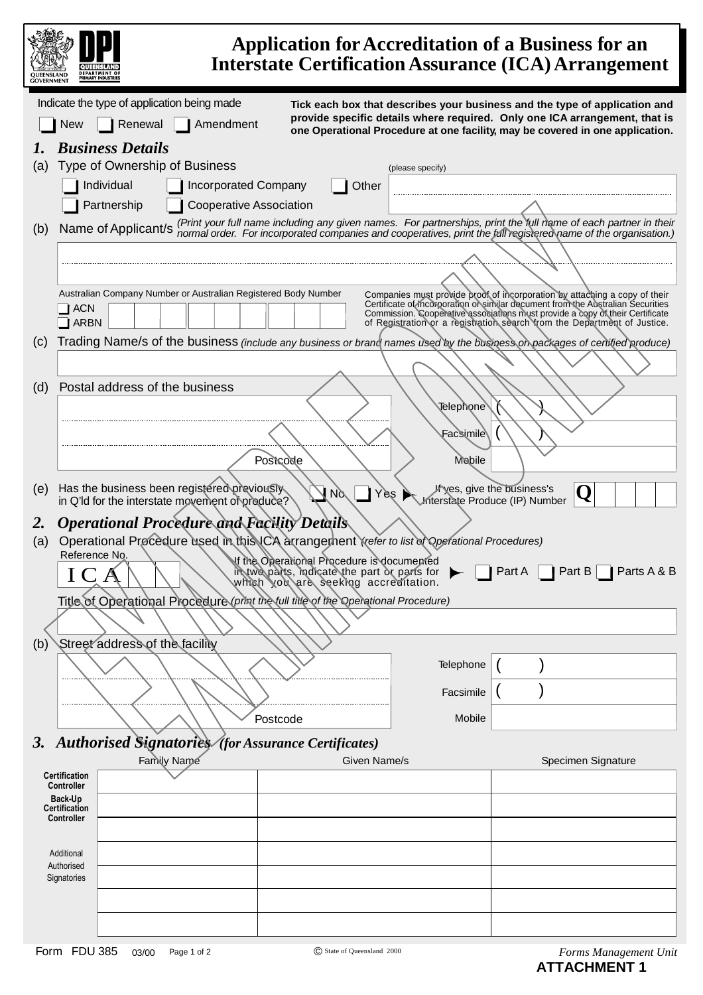<span id="page-18-0"></span>

|     | <b>DEPARTMENT O</b><br><b>RIMARY INDUSTRU</b>                                                                              |                                                                                                                                    |                  | <b>Application for Accreditation of a Business for an</b><br><b>Interstate Certification Assurance (ICA) Arrangement</b>                                                                                                                     |
|-----|----------------------------------------------------------------------------------------------------------------------------|------------------------------------------------------------------------------------------------------------------------------------|------------------|----------------------------------------------------------------------------------------------------------------------------------------------------------------------------------------------------------------------------------------------|
|     | Indicate the type of application being made                                                                                |                                                                                                                                    |                  | Tick each box that describes your business and the type of application and                                                                                                                                                                   |
|     | Renewal<br><b>New</b><br>Amendment                                                                                         |                                                                                                                                    |                  | provide specific details where required. Only one ICA arrangement, that is<br>one Operational Procedure at one facility, may be covered in one application.                                                                                  |
|     | <b>Business Details</b>                                                                                                    |                                                                                                                                    |                  |                                                                                                                                                                                                                                              |
| (a) | Type of Ownership of Business                                                                                              |                                                                                                                                    | (please specify) |                                                                                                                                                                                                                                              |
|     | Individual<br><b>Incorporated Company</b><br><b>Cooperative Association</b><br>Partnership                                 |                                                                                                                                    | Other            |                                                                                                                                                                                                                                              |
|     |                                                                                                                            |                                                                                                                                    |                  | (Print your full name including any given names. For partnerships, print the full name of each partner in their                                                                                                                              |
| (b) | Name of Applicant/s                                                                                                        |                                                                                                                                    |                  | normal order. For incorporated companies and cooperatives, print the full registered name of the organisation.)                                                                                                                              |
|     |                                                                                                                            |                                                                                                                                    |                  |                                                                                                                                                                                                                                              |
|     | Australian Company Number or Australian Registered Body Number                                                             |                                                                                                                                    |                  | Companies must provide proof of incorporation by attaching a copy of their                                                                                                                                                                   |
|     | <b>ACN</b><br><b>ARBN</b>                                                                                                  |                                                                                                                                    |                  | Certificate of incorporation or similar document from the Australian Securities<br>Commission. Cooperative associations must provide a copy of their Certificate<br>of Registration or a registration search from the Department of Justice. |
| (c) | Trading Name/s of the business (include any business or brand names used by the business on packages of certified produce) |                                                                                                                                    |                  |                                                                                                                                                                                                                                              |
|     |                                                                                                                            |                                                                                                                                    |                  |                                                                                                                                                                                                                                              |
| (d) | Postal address of the business                                                                                             |                                                                                                                                    |                  |                                                                                                                                                                                                                                              |
|     |                                                                                                                            |                                                                                                                                    | <b>Telephone</b> |                                                                                                                                                                                                                                              |
|     |                                                                                                                            |                                                                                                                                    | Facsimile\       |                                                                                                                                                                                                                                              |
|     |                                                                                                                            | Postcode                                                                                                                           | <b>Mobile</b>    |                                                                                                                                                                                                                                              |
| (e) | Has the business been registered previously.<br>in Q'ld for the interstate movement of produce?                            | N <sub>o</sub>                                                                                                                     | Yes              | Wyes, give the business's<br>Q<br>Interstate Produce (IP) Number                                                                                                                                                                             |
| 2.  | <i><b>Operational Procedure and Facility Details</b></i>                                                                   |                                                                                                                                    |                  |                                                                                                                                                                                                                                              |
| (a) | Operational Procedure used in this ICA arrangement Yrefer to list of Operational Procedures)<br>Reference No.              |                                                                                                                                    |                  |                                                                                                                                                                                                                                              |
|     | $\rm~IC$                                                                                                                   | of the Operational Procedure is documented<br>in two parts, indicate the part or parts for<br>which you are seeking accreditation. |                  | Part A     Part B     Parts A & B                                                                                                                                                                                                            |
|     | Title of Operational Procedure (print the full title of the Operational Procedure)                                         |                                                                                                                                    |                  |                                                                                                                                                                                                                                              |
|     | Street address of the facility                                                                                             |                                                                                                                                    |                  |                                                                                                                                                                                                                                              |
| (b) |                                                                                                                            |                                                                                                                                    | Telephone        |                                                                                                                                                                                                                                              |
|     |                                                                                                                            |                                                                                                                                    |                  |                                                                                                                                                                                                                                              |
|     |                                                                                                                            |                                                                                                                                    | Facsimile        |                                                                                                                                                                                                                                              |
|     |                                                                                                                            | Postcode                                                                                                                           | Mobile           |                                                                                                                                                                                                                                              |
|     | 3. Authorised Signatories (for Assurance Certificates)                                                                     |                                                                                                                                    |                  |                                                                                                                                                                                                                                              |
|     | Family Name<br>Certification                                                                                               |                                                                                                                                    | Given Name/s     | Specimen Signature                                                                                                                                                                                                                           |
|     | <b>Controller</b><br>Back-Up                                                                                               |                                                                                                                                    |                  |                                                                                                                                                                                                                                              |
|     | Certification<br><b>Controller</b>                                                                                         |                                                                                                                                    |                  |                                                                                                                                                                                                                                              |
|     |                                                                                                                            |                                                                                                                                    |                  |                                                                                                                                                                                                                                              |
|     | Additional<br>Authorised                                                                                                   |                                                                                                                                    |                  |                                                                                                                                                                                                                                              |
|     | Signatories                                                                                                                |                                                                                                                                    |                  |                                                                                                                                                                                                                                              |
|     |                                                                                                                            |                                                                                                                                    |                  |                                                                                                                                                                                                                                              |
|     |                                                                                                                            |                                                                                                                                    |                  |                                                                                                                                                                                                                                              |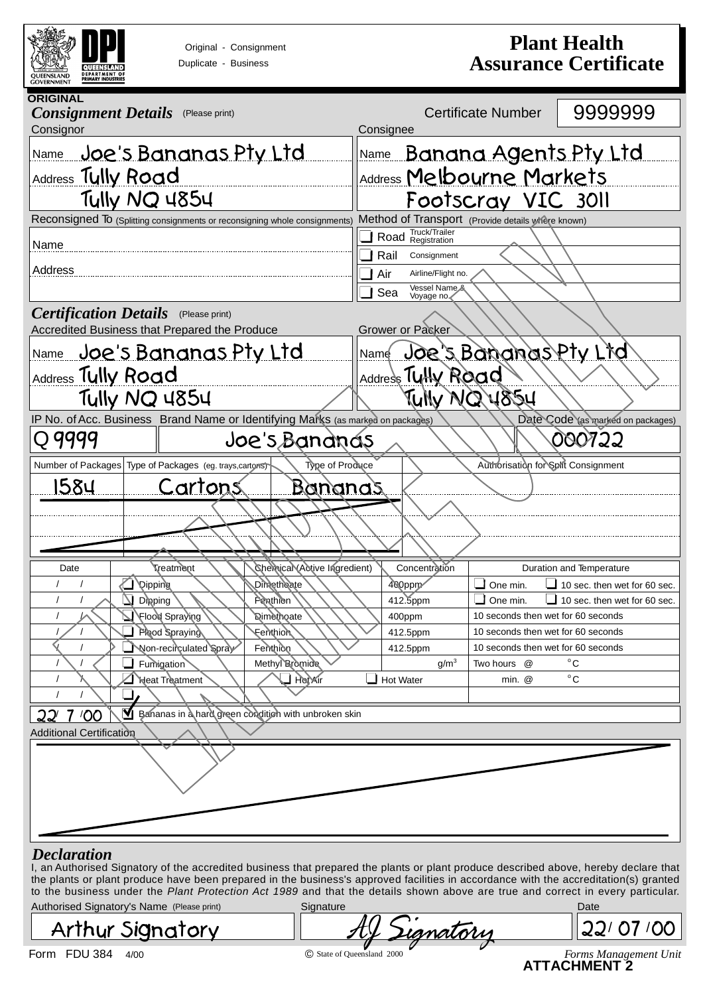<span id="page-19-0"></span>

|                                                            | Original - Consignment<br>Duplicate - Business                                               |                                                      |                                                                                                                                                     |                                                | <b>Plant Health</b><br><b>Assurance Certificate</b> |
|------------------------------------------------------------|----------------------------------------------------------------------------------------------|------------------------------------------------------|-----------------------------------------------------------------------------------------------------------------------------------------------------|------------------------------------------------|-----------------------------------------------------|
| <b>ORIGINAL</b><br><b>Consignment Details</b><br>Consignor | (Please print)                                                                               |                                                      | Consignee                                                                                                                                           | <b>Certificate Number</b>                      | 9999999                                             |
| Name<br>Address Tully Road                                 | Joe's Bananas Pty Ltd                                                                        |                                                      | <b>Banana Agents Pty Ltd</b><br>Name<br>Address Melbourne Markets                                                                                   |                                                |                                                     |
|                                                            | Tully NQ 4854                                                                                |                                                      | Footscray VIC 3011                                                                                                                                  |                                                |                                                     |
| Name<br>Address                                            | Reconsigned To (Splitting consignments or reconsigning whole consignments)                   |                                                      | Method of Transport (Provide details where known)<br>Road Truck/Trailer<br>Rail<br>Consignment<br>Air<br>Airline/Flight no.<br>Vessel Name &<br>Sea |                                                |                                                     |
|                                                            | <b>Certification Details</b> (Please print)<br>Accredited Business that Prepared the Produce |                                                      | Voyage no<br>Grower or Packer                                                                                                                       |                                                |                                                     |
| Address Tully Road                                         | <u>Name Joe's Bananas Pty Ltd</u><br>Tully NQ 4854                                           |                                                      | Name Joe's Bananas Pty Lind<br>Address Tutty Road<br>TUNY NQ 4854                                                                                   |                                                |                                                     |
|                                                            | IP No. of Acc. Business Brand Name or Identifying Marks (as marked on packages)              |                                                      |                                                                                                                                                     |                                                | Date Code (as marked on packages)                   |
| Q 9999                                                     |                                                                                              | Joe's Bandnas                                        |                                                                                                                                                     |                                                | 000722                                              |
|                                                            | Number of Packages Type of Packages (eg. trays, cartons)                                     | Type of Produce                                      |                                                                                                                                                     | Authorisation for Split Consignment            |                                                     |
| <u> 1584</u>                                               | Cartons                                                                                      | <u>Bananas</u>                                       |                                                                                                                                                     |                                                |                                                     |
|                                                            |                                                                                              |                                                      |                                                                                                                                                     |                                                |                                                     |
|                                                            |                                                                                              |                                                      |                                                                                                                                                     |                                                |                                                     |
| Date                                                       | <b>Treatment</b>                                                                             | Chercical (Active Ingredient)                        | Concentration                                                                                                                                       |                                                | Duration and Temperature                            |
| $\prime$                                                   | <b>Dipping</b>                                                                               | Dimetheate                                           | 400ppm                                                                                                                                              | One min.                                       | 10 sec. then wet for 60 sec.                        |
|                                                            | Dipping<br>Flood Spraying                                                                    | Penthion<br><b>Qimethoate</b>                        | 412.5ppm<br>400ppm                                                                                                                                  | One min.<br>10 seconds then wet for 60 seconds | 10 sec. then wet for 60 sec.                        |
|                                                            | Plood Spraying                                                                               | Fenthion                                             | 412.5ppm                                                                                                                                            | 10 seconds then wet for 60 seconds             |                                                     |
|                                                            | Non-recirculated Spray                                                                       | Fenthion                                             | 412.5ppm                                                                                                                                            | 10 seconds then wet for 60 seconds             |                                                     |
|                                                            | Fumigation<br><b>Neat Treatment</b>                                                          | Methyl Bromide<br>$\Box$ Hot Air                     | g/m <sup>3</sup><br>Hot Water                                                                                                                       | Two hours @<br>min. @                          | $^{\circ}$ C<br>$^{\circ}$ C                        |
| 100                                                        |                                                                                              | Bananas in a hard green condition with unbroken skin |                                                                                                                                                     |                                                |                                                     |
| <b>Additional Certification</b>                            |                                                                                              |                                                      |                                                                                                                                                     |                                                |                                                     |
|                                                            |                                                                                              |                                                      |                                                                                                                                                     |                                                |                                                     |

to the business under the *Plant Protection Act 1989* and that the details shown above are true and correct in every particular.

| Authorised Signatory's Name (Please print)<br>sianature |                  | Date |
|---------------------------------------------------------|------------------|------|
| <b>Arthur Signatory</b>                                 | Dianatorii<br>ЛV |      |

**ATTACHMENT 2**

Form FDU 384 4/00 *Forms Management Unit* © State of Queensland 2000 <u>22/07/00</u>  $\widetilde{\mathcal{L}}$ ignatory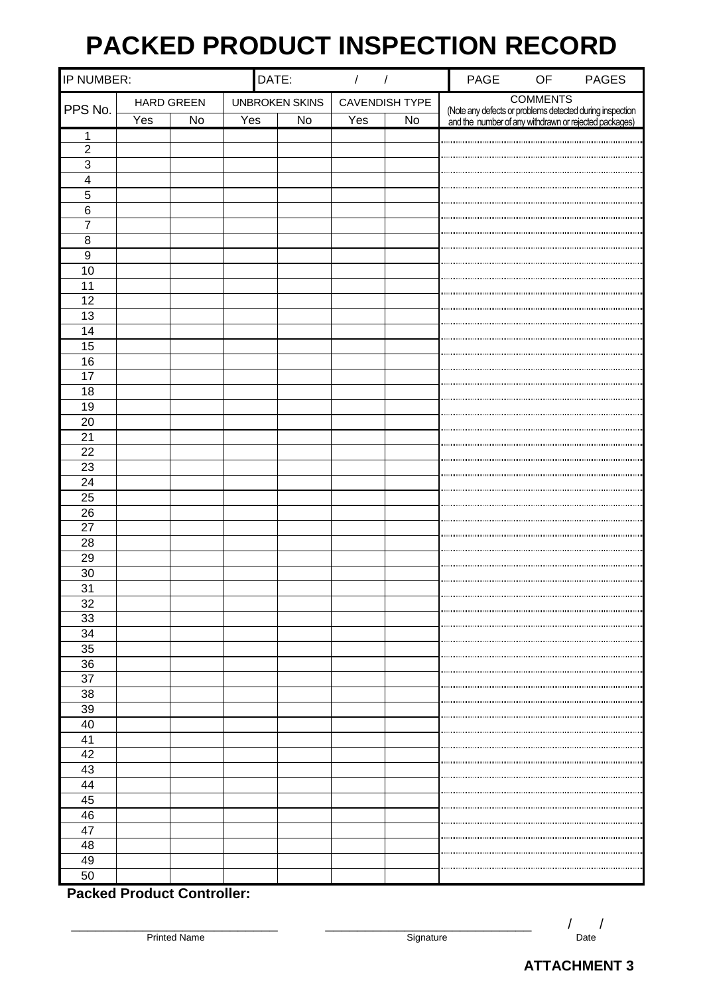# **PACKED PRODUCT INSPECTION RECORD**

<span id="page-20-0"></span>

| IP NUMBER:              |     |                   | DATE:                 |           | $\overline{\phantom{a}}$<br>$\sqrt{2}$ |    | PAGE                                                                                                              | OF              | <b>PAGES</b> |
|-------------------------|-----|-------------------|-----------------------|-----------|----------------------------------------|----|-------------------------------------------------------------------------------------------------------------------|-----------------|--------------|
| PPS No.                 |     | <b>HARD GREEN</b> | <b>UNBROKEN SKINS</b> |           | <b>CAVENDISH TYPE</b>                  |    |                                                                                                                   | <b>COMMENTS</b> |              |
|                         | Yes | $\mathsf{No}$     | Yes                   | <b>No</b> | Yes                                    | No | (Note any defects or problems detected during inspection<br>and the number of any withdrawn or rejected packages) |                 |              |
| 1                       |     |                   |                       |           |                                        |    |                                                                                                                   |                 |              |
| $\overline{2}$          |     |                   |                       |           |                                        |    |                                                                                                                   |                 |              |
| $\overline{3}$          |     |                   |                       |           |                                        |    |                                                                                                                   |                 |              |
| $\overline{\mathbf{4}}$ |     |                   |                       |           |                                        |    |                                                                                                                   |                 |              |
| 5                       |     |                   |                       |           |                                        |    |                                                                                                                   |                 |              |
| $\,6$                   |     |                   |                       |           |                                        |    |                                                                                                                   |                 |              |
| $\overline{7}$          |     |                   |                       |           |                                        |    |                                                                                                                   |                 |              |
| 8                       |     |                   |                       |           |                                        |    |                                                                                                                   |                 |              |
| $9\,$                   |     |                   |                       |           |                                        |    |                                                                                                                   |                 |              |
| 10                      |     |                   |                       |           |                                        |    |                                                                                                                   |                 |              |
| 11                      |     |                   |                       |           |                                        |    |                                                                                                                   |                 |              |
| 12                      |     |                   |                       |           |                                        |    |                                                                                                                   |                 |              |
| 13                      |     |                   |                       |           |                                        |    |                                                                                                                   |                 |              |
| 14                      |     |                   |                       |           |                                        |    |                                                                                                                   |                 |              |
| 15                      |     |                   |                       |           |                                        |    |                                                                                                                   |                 |              |
| 16                      |     |                   |                       |           |                                        |    |                                                                                                                   |                 |              |
| 17                      |     |                   |                       |           |                                        |    |                                                                                                                   |                 |              |
| 18                      |     |                   |                       |           |                                        |    |                                                                                                                   |                 |              |
| 19                      |     |                   |                       |           |                                        |    |                                                                                                                   |                 |              |
| 20                      |     |                   |                       |           |                                        |    |                                                                                                                   |                 |              |
| $\overline{21}$         |     |                   |                       |           |                                        |    |                                                                                                                   |                 |              |
| 22                      |     |                   |                       |           |                                        |    |                                                                                                                   |                 |              |
| 23                      |     |                   |                       |           |                                        |    |                                                                                                                   |                 |              |
| $\overline{24}$         |     |                   |                       |           |                                        |    |                                                                                                                   |                 |              |
| $\overline{25}$         |     |                   |                       |           |                                        |    |                                                                                                                   |                 |              |
| 26                      |     |                   |                       |           |                                        |    |                                                                                                                   |                 |              |
| $\overline{27}$         |     |                   |                       |           |                                        |    |                                                                                                                   |                 |              |
| 28                      |     |                   |                       |           |                                        |    |                                                                                                                   |                 |              |
| 29                      |     |                   |                       |           |                                        |    |                                                                                                                   |                 |              |
| 30                      |     |                   |                       |           |                                        |    |                                                                                                                   |                 |              |
| 31                      |     |                   |                       |           |                                        |    |                                                                                                                   |                 |              |
| 32                      |     |                   |                       |           |                                        |    |                                                                                                                   |                 |              |
| 33                      |     |                   |                       |           |                                        |    |                                                                                                                   |                 |              |
| 34                      |     |                   |                       |           |                                        |    |                                                                                                                   |                 |              |
| 35                      |     |                   |                       |           |                                        |    |                                                                                                                   |                 |              |
| 36                      |     |                   |                       |           |                                        |    |                                                                                                                   |                 |              |
| 37                      |     |                   |                       |           |                                        |    |                                                                                                                   |                 |              |
| 38                      |     |                   |                       |           |                                        |    |                                                                                                                   |                 |              |
| 39                      |     |                   |                       |           |                                        |    |                                                                                                                   |                 |              |
| 40                      |     |                   |                       |           |                                        |    |                                                                                                                   |                 |              |
| 41                      |     |                   |                       |           |                                        |    |                                                                                                                   |                 |              |
| 42                      |     |                   |                       |           |                                        |    |                                                                                                                   |                 |              |
| 43                      |     |                   |                       |           |                                        |    |                                                                                                                   |                 |              |
| 44                      |     |                   |                       |           |                                        |    |                                                                                                                   |                 |              |
| 45                      |     |                   |                       |           |                                        |    |                                                                                                                   |                 |              |
| 46                      |     |                   |                       |           |                                        |    |                                                                                                                   |                 |              |
| 47                      |     |                   |                       |           |                                        |    |                                                                                                                   |                 |              |
| 48                      |     |                   |                       |           |                                        |    |                                                                                                                   |                 |              |
| 49                      |     |                   |                       |           |                                        |    |                                                                                                                   |                 |              |
| 50                      |     |                   |                       |           |                                        |    |                                                                                                                   |                 |              |

**Packed Product Controller:**

\_\_\_\_\_\_\_\_\_\_\_\_\_\_\_\_\_\_\_\_\_\_\_\_\_\_ \_\_\_\_\_\_\_\_\_\_\_\_\_\_\_\_\_\_\_\_\_\_\_\_\_\_ / / Printed Name  $\begin{array}{ccc} & & / & / \\ \hline \end{array}$ 

**ATTACHMENT 3**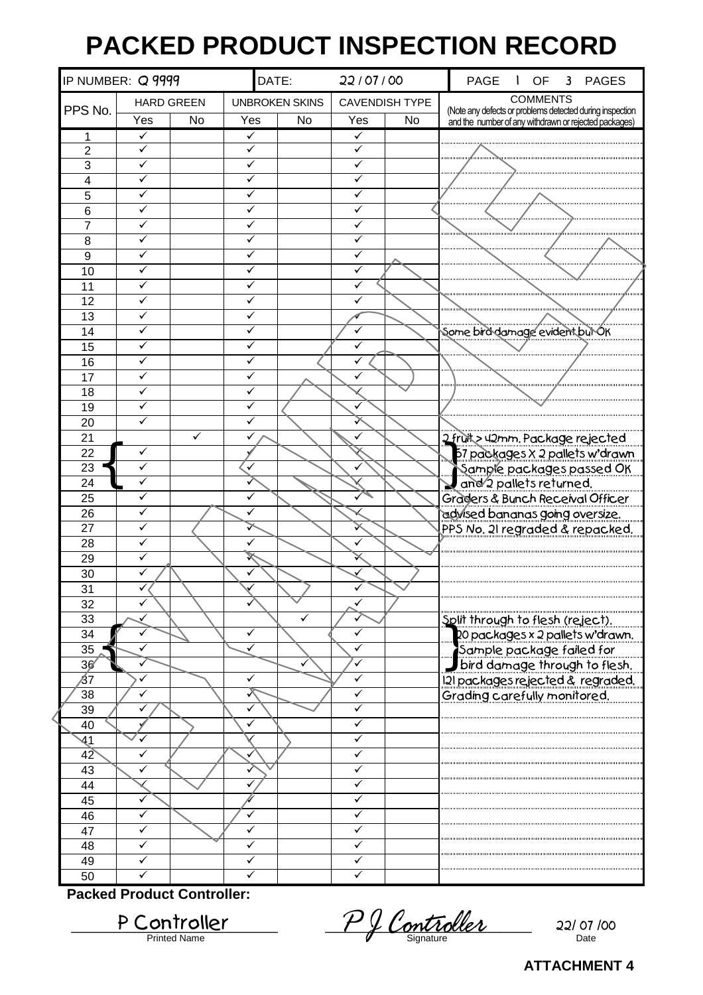# **PACKED PRODUCT INSPECTION RECORD**

<span id="page-21-0"></span>

| IP NUMBER: Q 9999 |                   |    | DATE:  |                       | 22/07/00              |           | <b>PAGE</b><br><b>OF</b><br>$\overline{\mathbf{3}}$<br><b>PAGES</b>                                               |
|-------------------|-------------------|----|--------|-----------------------|-----------------------|-----------|-------------------------------------------------------------------------------------------------------------------|
|                   | <b>HARD GREEN</b> |    |        | <b>UNBROKEN SKINS</b> | <b>CAVENDISH TYPE</b> |           | <b>COMMENTS</b>                                                                                                   |
| PPS No.           | Yes               | No | Yes    | No                    | Yes                   | <b>No</b> | (Note any defects or problems detected during inspection<br>and the number of any withdrawn or rejected packages) |
| 1                 | ✓                 |    | ✓      |                       | ✓                     |           |                                                                                                                   |
| $\overline{2}$    | ✓                 |    | ✓      |                       | ✓                     |           |                                                                                                                   |
| 3                 | ✓                 |    | ✓      |                       | ✓                     |           |                                                                                                                   |
| $\overline{4}$    | ✓                 |    | ✓      |                       | ✓                     |           |                                                                                                                   |
| 5                 | ✓                 |    | ✓      |                       | ✓                     |           |                                                                                                                   |
| 6                 | ✓                 |    | ✓      |                       | ✓                     |           |                                                                                                                   |
| $\overline{7}$    | ✓<br>✓            |    | ✓<br>✓ |                       | $\checkmark$          |           |                                                                                                                   |
| 8<br>9            | ✓                 |    | ✓      |                       | ✓<br>✓                |           |                                                                                                                   |
| 10                | ✓                 |    | ✓      |                       | ✓                     |           |                                                                                                                   |
| 11                |                   |    |        |                       |                       |           |                                                                                                                   |
| 12                |                   |    | ✓      |                       | ✓                     |           |                                                                                                                   |
| 13                |                   |    | ✓      |                       |                       |           |                                                                                                                   |
| 14                | ✓                 |    | ✓      |                       | ✓                     |           | Some bird damage evident but OK                                                                                   |
| 15                | ✓                 |    | ✓      |                       | ✓                     |           |                                                                                                                   |
| 16                | ✓                 |    | ✓      |                       |                       |           |                                                                                                                   |
| 17                | ✓                 |    | ✓      |                       | ✓                     |           |                                                                                                                   |
| 18                | ✓                 |    | ✓      |                       |                       |           |                                                                                                                   |
| 19                | ✓                 |    | ✓      |                       |                       |           |                                                                                                                   |
| 20                |                   |    | ✓      |                       |                       |           |                                                                                                                   |
| 21                |                   | ✓  | ✓      |                       | ✓                     |           | 2 fruit > 42mm. Package rejected                                                                                  |
| 22                | ✓                 |    |        |                       |                       |           | 157 packages x 2 pallets w'drawn                                                                                  |
| 23                | ✓                 |    |        |                       |                       |           | Sample packages passed OK                                                                                         |
| 24                | ✓                 |    |        |                       |                       |           | and 2 pallets returned.                                                                                           |
| 25                | ✓                 |    | ✓      |                       |                       |           | Graders & Bunch Receival Officer                                                                                  |
| 26                | ✓                 |    |        |                       |                       |           | advised bananas going oversize.                                                                                   |
| 27                |                   |    | ✓      |                       | ✓                     |           | PPS No. 21 regraded & repacked.                                                                                   |
| 28<br>29          | ✓                 |    |        |                       |                       |           |                                                                                                                   |
| 30                |                   |    | ✓      |                       |                       |           |                                                                                                                   |
| 31                |                   |    |        |                       |                       |           |                                                                                                                   |
| 32                |                   |    |        |                       |                       |           |                                                                                                                   |
| 33                |                   |    |        |                       |                       |           | Split through to flesh (reject).                                                                                  |
| 34                |                   |    | ✓      |                       | ✓                     |           |                                                                                                                   |
| 35                |                   |    |        |                       |                       |           |                                                                                                                   |
| 36                |                   |    |        |                       | ✓                     |           | 120 packages x 2 pallets w'drawn.<br>Sample package failed for<br>Dipackages rejected & regraded.                 |
| 137               |                   |    |        |                       | ✓                     |           |                                                                                                                   |
| 38                |                   |    |        |                       | ✓                     |           | Grading carefully monitored.                                                                                      |
| 39                |                   |    |        |                       | ✓                     |           |                                                                                                                   |
| 40                |                   |    |        |                       | ✓                     |           |                                                                                                                   |
| 41                |                   |    |        |                       |                       |           |                                                                                                                   |
| 42                | ✓                 |    |        |                       | ✓                     |           |                                                                                                                   |
| 43                |                   |    |        |                       | ✓                     |           |                                                                                                                   |
| 44                |                   |    | ✓      |                       | ✓                     |           |                                                                                                                   |
| 45                | ✓                 |    | ✓      |                       | ✓<br>✓                |           |                                                                                                                   |
| 46<br>47          | ✓                 |    | ✓      |                       | ✓                     |           |                                                                                                                   |
| 48                | ✓                 |    | ✓      |                       |                       |           |                                                                                                                   |
| 49                | ✓                 |    | ✓      |                       | ✓                     |           |                                                                                                                   |
| 50                |                   |    |        |                       |                       |           |                                                                                                                   |

**Packed Product Controller:**

P Controller P P P Controller 22/07/00 P Controller P J Controller 22/07

**ATTACHMENT 4**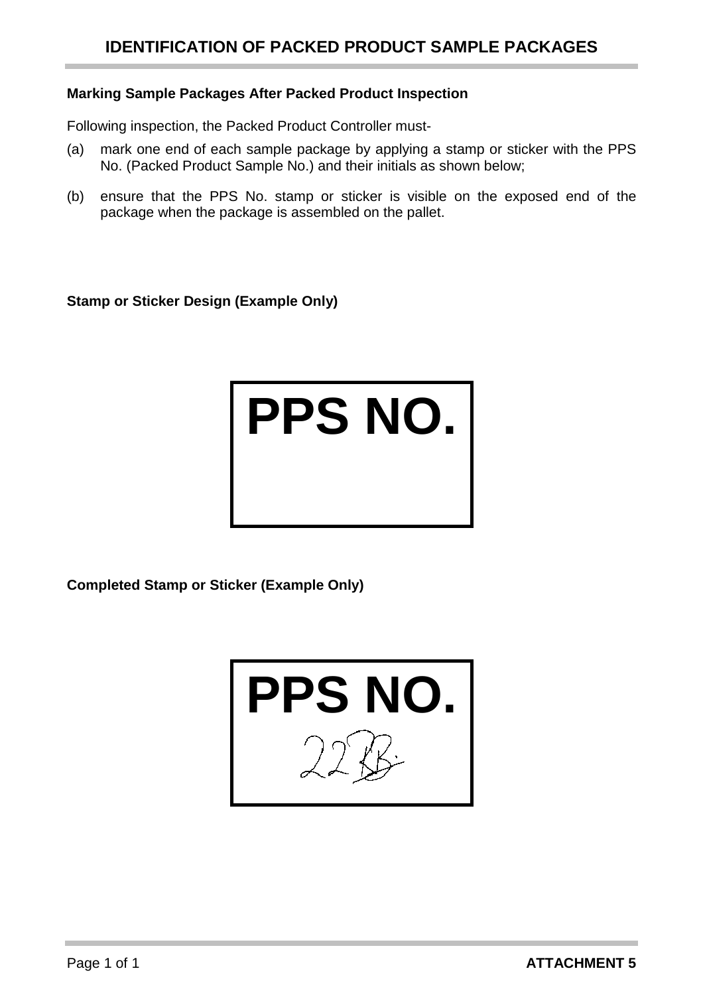#### <span id="page-22-0"></span>**Marking Sample Packages After Packed Product Inspection**

Following inspection, the Packed Product Controller must-

- (a) mark one end of each sample package by applying a stamp or sticker with the PPS No. (Packed Product Sample No.) and their initials as shown below;
- (b) ensure that the PPS No. stamp or sticker is visible on the exposed end of the package when the package is assembled on the pallet.

**Stamp or Sticker Design (Example Only)**

# **PPS NO.**

**Completed Stamp or Sticker (Example Only)**

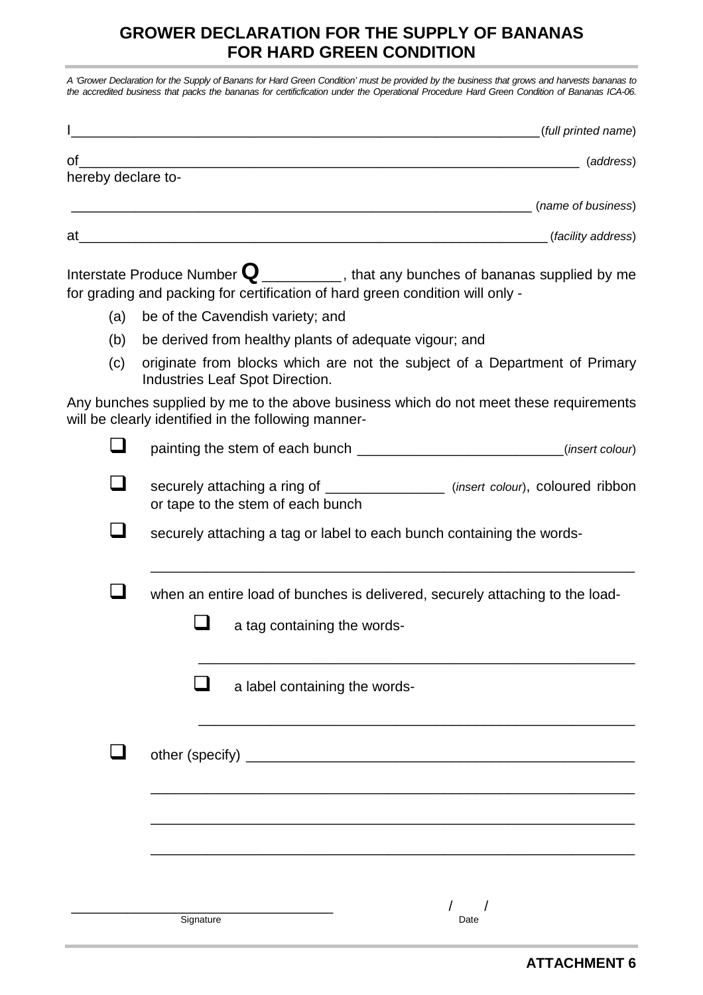## **GROWER DECLARATION FOR THE SUPPLY OF BANANAS FOR HARD GREEN CONDITION**

<span id="page-23-0"></span>*A 'Grower Declaration for the Supply of Banans for Hard Green Condition' must be provided by the business that grows and harvests bananas to the accredited business that packs the bananas for certificfication under the Operational Procedure Hard Green Condition of Bananas ICA-06.*

|                    | (full printed name) |
|--------------------|---------------------|
| of                 | (address)           |
| hereby declare to- |                     |
|                    | (name of business)  |
| at                 | (facility address)  |

Interstate Produce Number **Q**\_\_\_\_\_\_\_\_\_\_, that any bunches of bananas supplied by me for grading and packing for certification of hard green condition will only -

- (a) be of the Cavendish variety; and
- (b) be derived from healthy plants of adequate vigour; and
- (c) originate from blocks which are not the subject of a Department of Primary Industries Leaf Spot Direction.

Any bunches supplied by me to the above business which do not meet these requirements will be clearly identified in the following manner-

| (insert colour)                                                                                                                                          |
|----------------------------------------------------------------------------------------------------------------------------------------------------------|
| securely attaching a ring of _________________ (insert colour), coloured ribbon<br>or tape to the stem of each bunch                                     |
| securely attaching a tag or label to each bunch containing the words-                                                                                    |
| when an entire load of bunches is delivered, securely attaching to the load-<br>a tag containing the words-                                              |
| a label containing the words-<br><u> 1989 - Johann John Stoff, deutscher Stoff als der Stoff als der Stoff als der Stoff als der Stoff als der Stoff</u> |
|                                                                                                                                                          |
| Signature<br>Date                                                                                                                                        |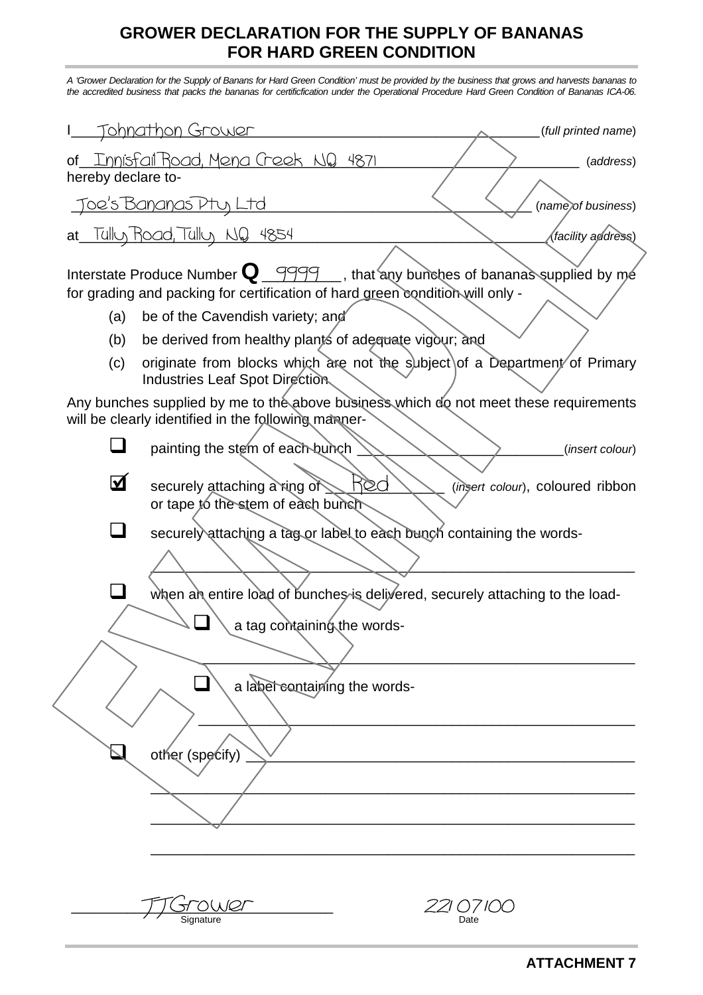## **GROWER DECLARATION FOR THE SUPPLY OF BANANAS FOR HARD GREEN CONDITION**

<span id="page-24-0"></span>*A 'Grower Declaration for the Supply of Banans for Hard Green Condition' must be provided by the business that grows and harvests bananas to the accredited business that packs the bananas for certificfication under the Operational Procedure Hard Green Condition of Bananas ICA-06.*

|                                                                                                                                              | <u>Tohnathon Grower</u><br>(full printed name)                                                                                                                            |  |
|----------------------------------------------------------------------------------------------------------------------------------------------|---------------------------------------------------------------------------------------------------------------------------------------------------------------------------|--|
| <u>of Innisfall Road, Mena Creek NQ 4871</u><br>(address)<br>hereby declare to-                                                              |                                                                                                                                                                           |  |
| <u>Toe's Bananas Ptu, Ltd</u><br>(name) of business)                                                                                         |                                                                                                                                                                           |  |
| at Tulluy Road, Tulluy NQ 4854<br><i>(facility address)</i>                                                                                  |                                                                                                                                                                           |  |
|                                                                                                                                              | Interstate Produce Number $\mathbf{Q}$ 9999 , that any bunches of bananas supplied by me<br>for grading and packing for certification of hard green condition will only - |  |
| (a)                                                                                                                                          | be of the Cavendish variety; and                                                                                                                                          |  |
| (b)                                                                                                                                          | be derived from healthy plants of adequate vigour; and                                                                                                                    |  |
| (c)                                                                                                                                          | originate from blocks which are not the subject of a Department of Primary<br>Industries Leaf Spot Direction                                                              |  |
| Any bunches supplied by me to the above business which do not meet these requirements<br>will be clearly identified in the following manner- |                                                                                                                                                                           |  |
|                                                                                                                                              | painting the stem of each bunch<br>(insert colour)                                                                                                                        |  |
| $\boldsymbol{\mathbf{\Xi}}$                                                                                                                  | R©d<br>securely attaching a ring of $\geq$<br>(insert colour), coloured ribbon<br>or tape to the stem of each bunch                                                       |  |
|                                                                                                                                              | securely attaching a tag or label to each bunch containing the words-                                                                                                     |  |
|                                                                                                                                              |                                                                                                                                                                           |  |
|                                                                                                                                              | when an entire load of bunches is delivered, securely attaching to the load-                                                                                              |  |
|                                                                                                                                              | a tag containing the words-                                                                                                                                               |  |
|                                                                                                                                              |                                                                                                                                                                           |  |
|                                                                                                                                              | a label containing the words-                                                                                                                                             |  |
|                                                                                                                                              |                                                                                                                                                                           |  |
|                                                                                                                                              | other (specify)                                                                                                                                                           |  |
|                                                                                                                                              |                                                                                                                                                                           |  |
|                                                                                                                                              |                                                                                                                                                                           |  |
|                                                                                                                                              |                                                                                                                                                                           |  |
|                                                                                                                                              |                                                                                                                                                                           |  |
|                                                                                                                                              | OWer<br>221 07 100<br>Date<br>Signature                                                                                                                                   |  |
|                                                                                                                                              |                                                                                                                                                                           |  |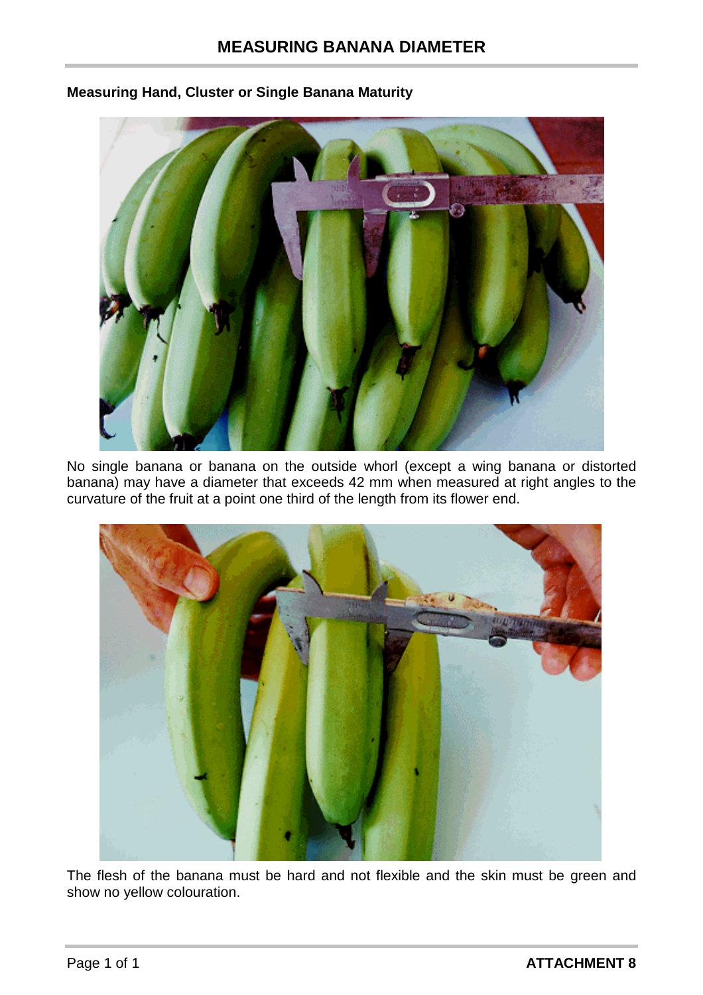

#### <span id="page-25-0"></span>**Measuring Hand, Cluster or Single Banana Maturity**

No single banana or banana on the outside whorl (except a wing banana or distorted banana) may have a diameter that exceeds 42 mm when measured at right angles to the curvature of the fruit at a point one third of the length from its flower end.



The flesh of the banana must be hard and not flexible and the skin must be green and show no yellow colouration.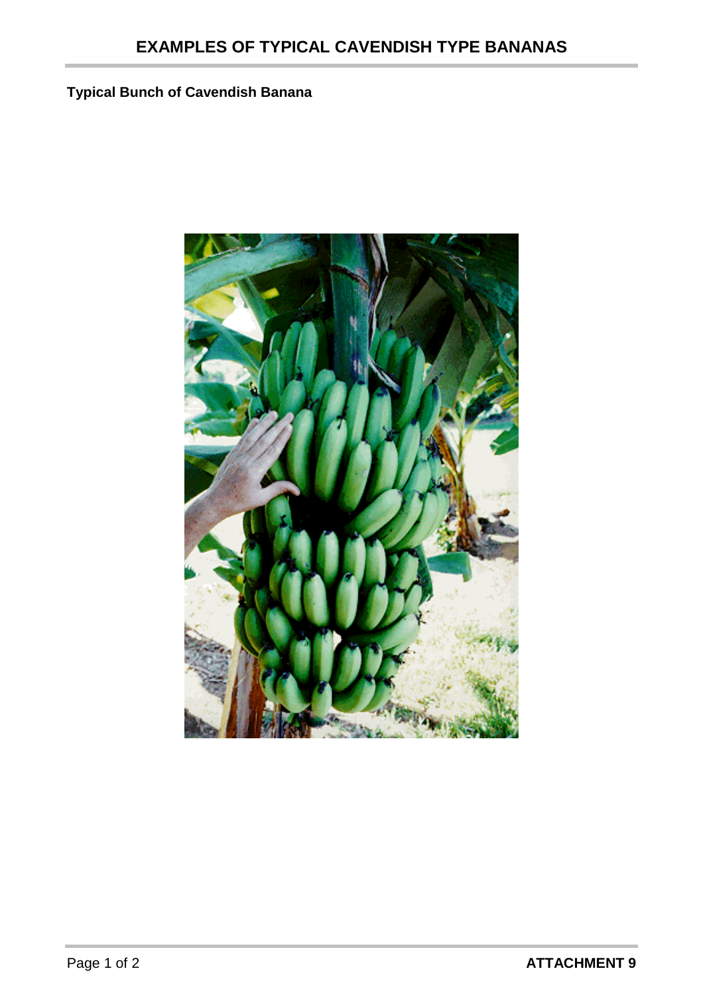# <span id="page-26-0"></span>**Typical Bunch of Cavendish Banana**